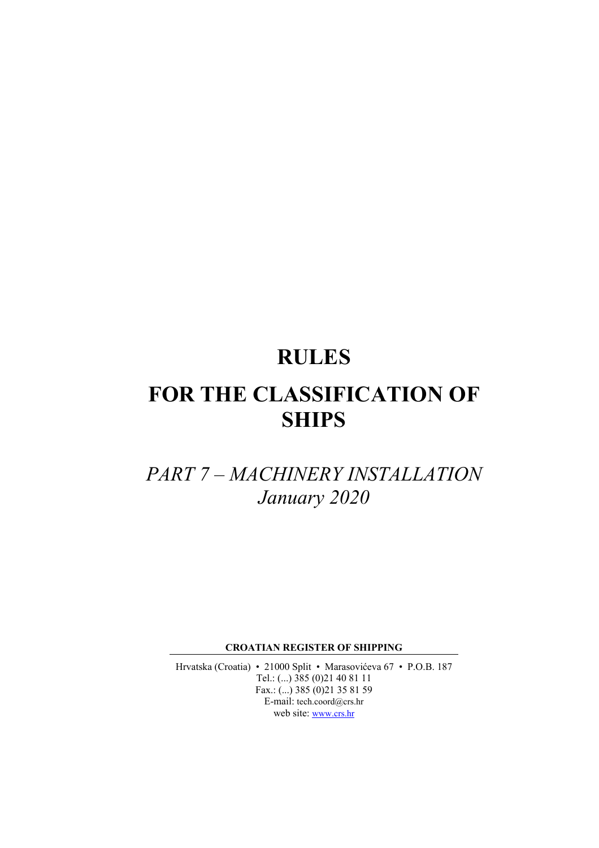# **RULES**

# **FOR THE CLASSIFICATION OF SHIPS**

# *PART 7 – MACHINERY INSTALLATION January 2020*

**CROATIAN REGISTER OF SHIPPING** 

Hrvatska (Croatia) • 21000 Split • Marasovićeva 67 • P.O.B. 187 Tel.: (...) 385 (0)21 40 81 11 Fax.: (...) 385 (0) 21 35 81 59 E-mail: tech.coord@crs.hr web site: www.crs.hr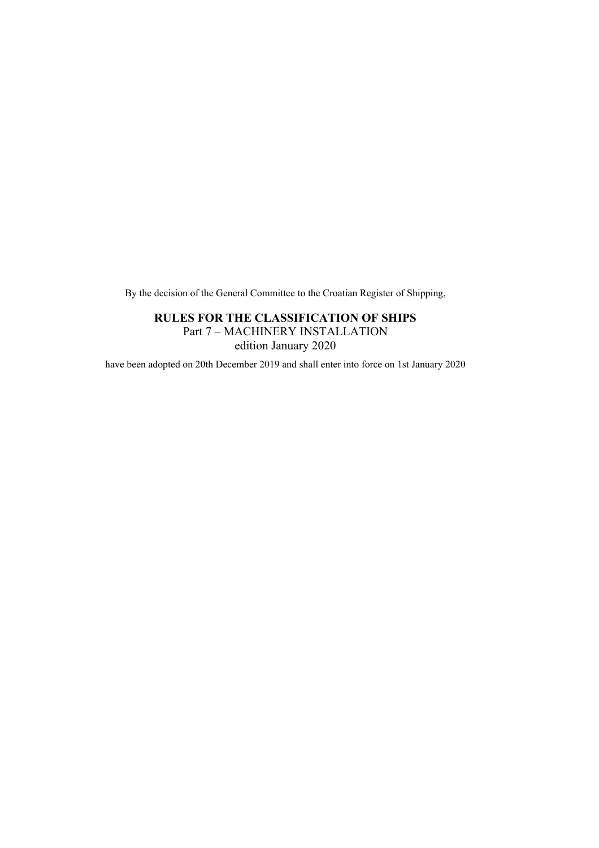By the decision of the General Committee to the Croatian Register of Shipping,

# **RULES FOR THE CLASSIFICATION OF SHIPS**

Part 7 – MACHINERY INSTALLATION edition January 2020

have been adopted on 20th December 2019 and shall enter into force on 1st January 2020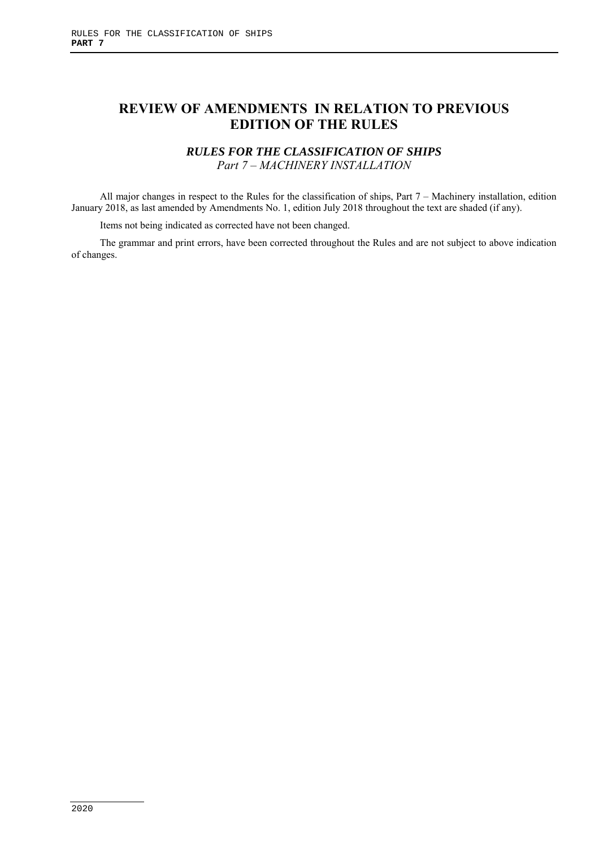# **REVIEW OF AMENDMENTS IN RELATION TO PREVIOUS EDITION OF THE RULES**

# *RULES FOR THE CLASSIFICATION OF SHIPS Part 7 – MACHINERY INSTALLATION*

All major changes in respect to the Rules for the classification of ships, Part 7 – Machinery installation, edition January 2018, as last amended by Amendments No. 1, edition July 2018 throughout the text are shaded (if any).

Items not being indicated as corrected have not been changed.

The grammar and print errors, have been corrected throughout the Rules and are not subject to above indication of changes.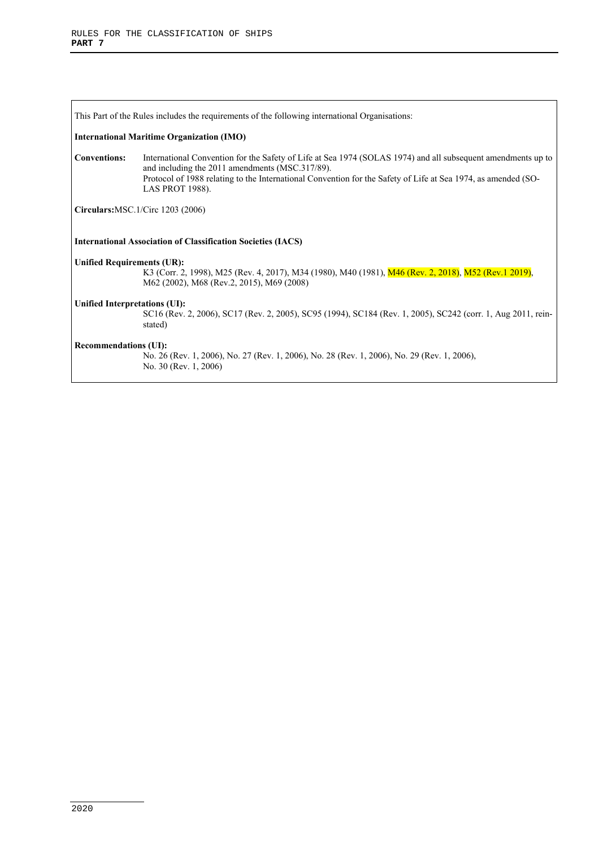This Part of the Rules includes the requirements of the following international Organisations: **International Maritime Organization (IMO) Conventions:** International Convention for the Safety of Life at Sea 1974 (SOLAS 1974) and all subsequent amendments up to and including the 2011 amendments (MSC.317/89). Protocol of 1988 relating to the International Convention for the Safety of Life at Sea 1974, as amended (SO-LAS PROT 1988). **Circulars:**MSC.1/Circ 1203 (2006) **International Association of Classification Societies (IACS) Unified Requirements (UR):**  K3 (Corr. 2, 1998), M25 (Rev. 4, 2017), M34 (1980), M40 (1981), M46 (Rev. 2, 2018), M52 (Rev.1 2019), M62 (2002), M68 (Rev.2, 2015), M69 (2008) **Unified Interpretations (UI):**  SC16 (Rev. 2, 2006), SC17 (Rev. 2, 2005), SC95 (1994), SC184 (Rev. 1, 2005), SC242 (corr. 1, Aug 2011, reinstated) **Recommendations (UI):**  No. 26 (Rev. 1, 2006), No. 27 (Rev. 1, 2006), No. 28 (Rev. 1, 2006), No. 29 (Rev. 1, 2006), No. 30 (Rev. 1, 2006)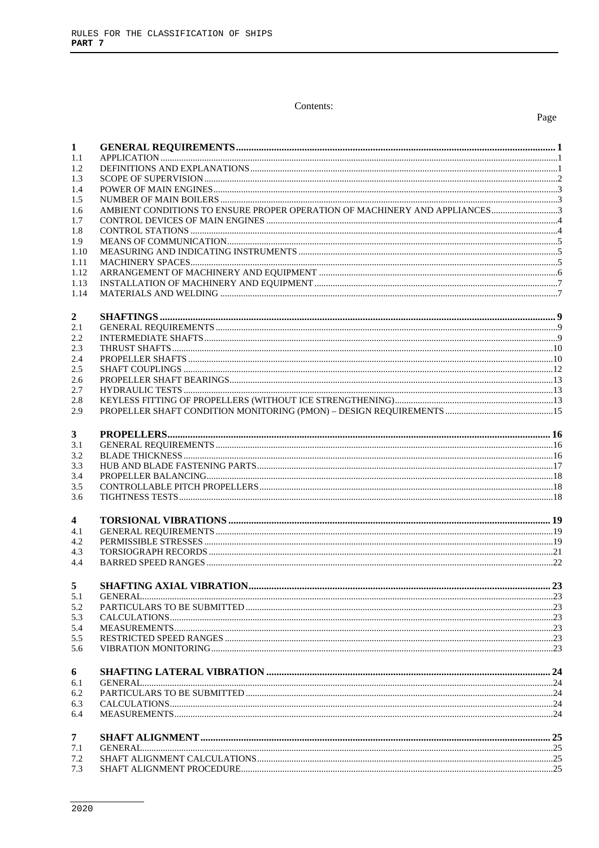#### Contents:

## Page

| $\mathbf{1}$        |  |
|---------------------|--|
| 1.1<br>1.2          |  |
| 1.3                 |  |
| 1.4                 |  |
| 1.5                 |  |
| 1.6                 |  |
| 1.7                 |  |
| 1.8                 |  |
| 1.9                 |  |
| 1.10                |  |
| 1.11                |  |
| 1.12                |  |
| 1.13<br>1.14        |  |
|                     |  |
|                     |  |
| $\mathbf{2}$<br>2.1 |  |
| 2.2                 |  |
| 2.3                 |  |
| 2.4                 |  |
| 2.5                 |  |
| 2.6                 |  |
| 2.7                 |  |
| 2.8                 |  |
| 2.9                 |  |
|                     |  |
| $3^{\circ}$         |  |
| 3.1                 |  |
| 3.2                 |  |
| 3.3                 |  |
| 3.4<br>3.5          |  |
| 3.6                 |  |
|                     |  |
| 4                   |  |
| 4.1                 |  |
| 4.2                 |  |
| 4.3                 |  |
| 4.4                 |  |
|                     |  |
|                     |  |
| 5.1                 |  |
| 5.2                 |  |
| 5.3                 |  |
| 5.4                 |  |
| 5.5                 |  |
| 5.6                 |  |
|                     |  |
| 6                   |  |
| 6.1                 |  |
| 6.2                 |  |
| 6.3                 |  |
| 6.4                 |  |
|                     |  |
| $\overline{7}$      |  |
| 7.1<br>7.2          |  |
| 7.3                 |  |
|                     |  |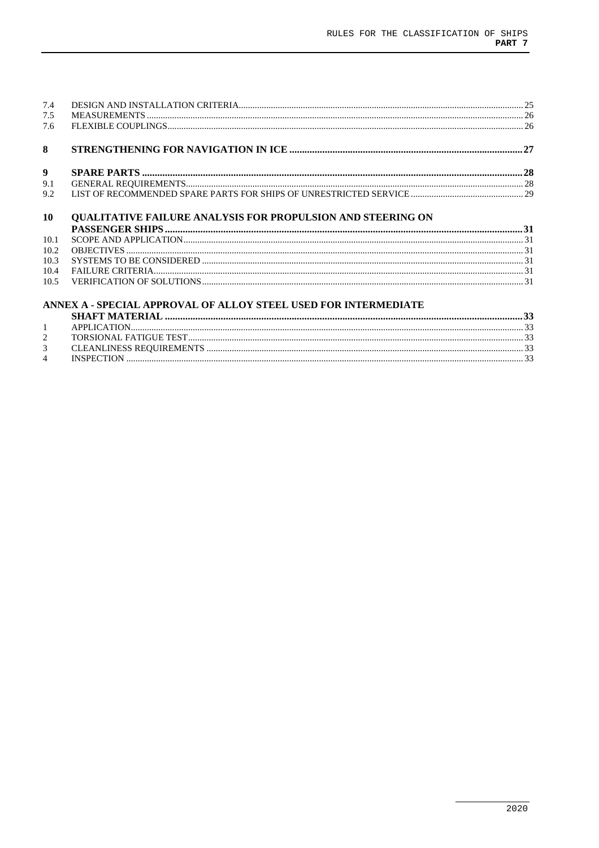| 7.4  |                                                                    |  |
|------|--------------------------------------------------------------------|--|
| 7.5  |                                                                    |  |
| 7.6  |                                                                    |  |
| 8    |                                                                    |  |
| 9    |                                                                    |  |
| 9.1  |                                                                    |  |
| 9.2  |                                                                    |  |
| 10   | <b>QUALITATIVE FAILURE ANALYSIS FOR PROPULSION AND STEERING ON</b> |  |
|      |                                                                    |  |
| 10.1 |                                                                    |  |
| 10.2 |                                                                    |  |
| 10.3 |                                                                    |  |
| 10.4 |                                                                    |  |
| 10.5 |                                                                    |  |
|      | ANNEX A - SPECIAL APPROVAL OF ALLOY STEEL USED FOR INTERMEDIATE    |  |
|      |                                                                    |  |
| 1    |                                                                    |  |
| 2    |                                                                    |  |
| 3    |                                                                    |  |
| 4    |                                                                    |  |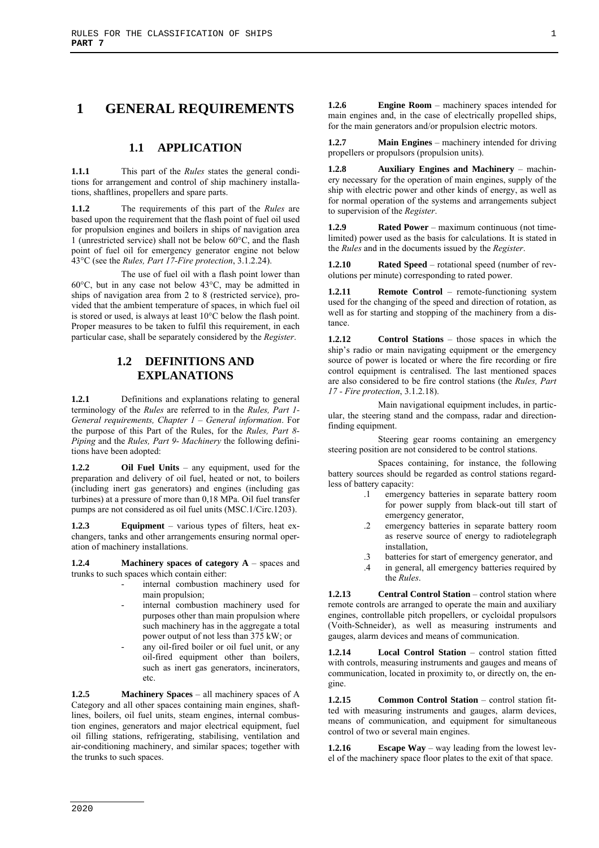# **1 GENERAL REQUIREMENTS**

## **1.1 APPLICATION**

**1.1.1** This part of the *Rules* states the general conditions for arrangement and control of ship machinery installations, shaftlines, propellers and spare parts.

**1.1.2** The requirements of this part of the *Rules* are based upon the requirement that the flash point of fuel oil used for propulsion engines and boilers in ships of navigation area 1 (unrestricted service) shall not be below 60°C, and the flash point of fuel oil for emergency generator engine not below 43°C (see the *Rules, Part 17-Fire protection*, 3.1.2.24).

The use of fuel oil with a flash point lower than 60°C, but in any case not below 43°C, may be admitted in ships of navigation area from 2 to 8 (restricted service), provided that the ambient temperature of spaces, in which fuel oil is stored or used, is always at least 10°C below the flash point. Proper measures to be taken to fulfil this requirement, in each particular case, shall be separately considered by the *Register*.

# **1.2 DEFINITIONS AND EXPLANATIONS**

**1.2.1** Definitions and explanations relating to general terminology of the *Rules* are referred to in the *Rules, Part 1- General requirements, Chapter 1 – General information*. For the purpose of this Part of the Rules, for the *Rules, Part 8- Piping* and the *Rules, Part 9- Machinery* the following definitions have been adopted:

**1.2.2 Oil Fuel Units** – any equipment, used for the preparation and delivery of oil fuel, heated or not, to boilers (including inert gas generators) and engines (including gas turbines) at a pressure of more than 0,18 MPa. Oil fuel transfer pumps are not considered as oil fuel units (MSC.1/Circ.1203).

**1.2.3 Equipment** – various types of filters, heat exchangers, tanks and other arrangements ensuring normal operation of machinery installations.

**1.2.4 Machinery spaces of category A** – spaces and trunks to such spaces which contain either:

- internal combustion machinery used for main propulsion;
- internal combustion machinery used for purposes other than main propulsion where such machinery has in the aggregate a total power output of not less than 375 kW; or
- any oil-fired boiler or oil fuel unit, or any oil-fired equipment other than boilers, such as inert gas generators, incinerators, etc.

**1.2.5 Machinery Spaces** – all machinery spaces of A Category and all other spaces containing main engines, shaftlines, boilers, oil fuel units, steam engines, internal combustion engines, generators and major electrical equipment, fuel oil filling stations, refrigerating, stabilising, ventilation and air-conditioning machinery, and similar spaces; together with the trunks to such spaces.

**1.2.6 Engine Room** – machinery spaces intended for main engines and, in the case of electrically propelled ships, for the main generators and/or propulsion electric motors.

**1.2.7 Main Engines** – machinery intended for driving propellers or propulsors (propulsion units).

**1.2.8 Auxiliary Engines and Machinery** – machinery necessary for the operation of main engines, supply of the ship with electric power and other kinds of energy, as well as for normal operation of the systems and arrangements subject to supervision of the *Register*.

**1.2.9 Rated Power** – maximum continuous (not timelimited) power used as the basis for calculations. It is stated in the *Rules* and in the documents issued by the *Register*.

**1.2.10 Rated Speed** – rotational speed (number of revolutions per minute) corresponding to rated power.

**1.2.11 Remote Control** – remote-functioning system used for the changing of the speed and direction of rotation, as well as for starting and stopping of the machinery from a distance.

**1.2.12 Control Stations** – those spaces in which the ship's radio or main navigating equipment or the emergency source of power is located or where the fire recording or fire control equipment is centralised. The last mentioned spaces are also considered to be fire control stations (the *Rules, Part 17 - Fire protection*, 3.1.2.18).

Main navigational equipment includes, in particular, the steering stand and the compass, radar and directionfinding equipment.

Steering gear rooms containing an emergency steering position are not considered to be control stations.

Spaces containing, for instance, the following battery sources should be regarded as control stations regardless of battery capacity:

- .1 emergency batteries in separate battery room for power supply from black-out till start of emergency generator,
- .2 emergency batteries in separate battery room as reserve source of energy to radiotelegraph installation,
- .3 batteries for start of emergency generator, and
- .4 in general, all emergency batteries required by the *Rules*.

**1.2.13 Central Control Station** – control station where remote controls are arranged to operate the main and auxiliary engines, controllable pitch propellers, or cycloidal propulsors (Voith-Schneider), as well as measuring instruments and gauges, alarm devices and means of communication.

**1.2.14 Local Control Station** – control station fitted with controls, measuring instruments and gauges and means of communication, located in proximity to, or directly on, the engine.

**1.2.15 Common Control Station** – control station fitted with measuring instruments and gauges, alarm devices, means of communication, and equipment for simultaneous control of two or several main engines.

**1.2.16 Escape Way** – way leading from the lowest level of the machinery space floor plates to the exit of that space.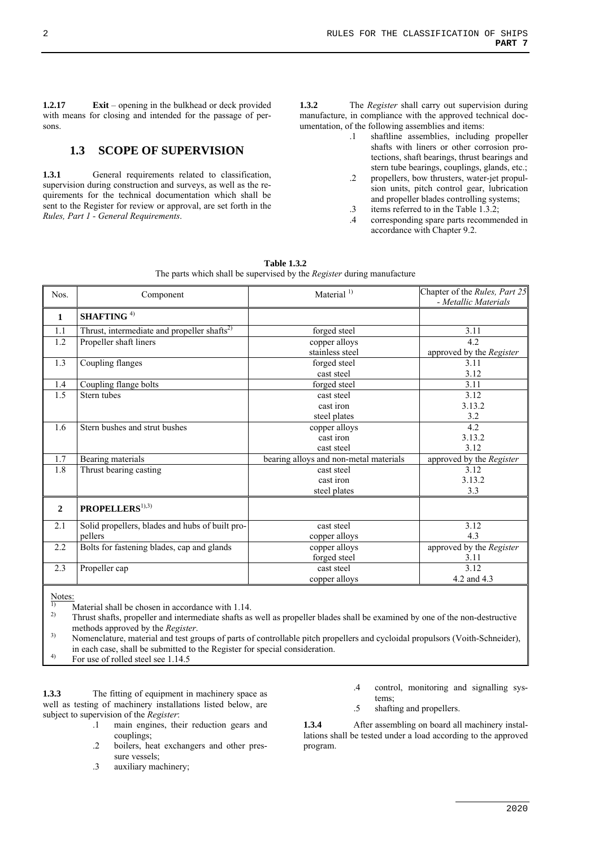**1.2.17 Exit** – opening in the bulkhead or deck provided with means for closing and intended for the passage of persons.

# **1.3 SCOPE OF SUPERVISION**

1.3.1 General requirements related to classification, supervision during construction and surveys, as well as the requirements for the technical documentation which shall be sent to the Register for review or approval, are set forth in the *Rules, Part 1 - General Requirements*.

**1.3.2** The *Register* shall carry out supervision during manufacture, in compliance with the approved technical documentation, of the following assemblies and items:

- .1 shaftline assemblies, including propeller shafts with liners or other corrosion protections, shaft bearings, thrust bearings and stern tube bearings, couplings, glands, etc.;
- .2 propellers, bow thrusters, water-jet propulsion units, pitch control gear, lubrication and propeller blades controlling systems;
- .3 items referred to in the Table 1.3.2;
- .4 corresponding spare parts recommended in accordance with Chapter 9.2.

| Nos.           | Component                                               | Material $1)$                          | Chapter of the Rules, Part 25<br>- Metallic Materials |
|----------------|---------------------------------------------------------|----------------------------------------|-------------------------------------------------------|
| 1              | SHAFTING <sup>4)</sup>                                  |                                        |                                                       |
| 1.1            | Thrust, intermediate and propeller shafts <sup>2)</sup> | forged steel                           | 3.11                                                  |
| 1.2            | Propeller shaft liners                                  | copper alloys                          | 4.2                                                   |
|                |                                                         | stainless steel                        | approved by the Register                              |
| 1.3            | Coupling flanges                                        | forged steel                           | 3.11                                                  |
|                |                                                         | cast steel                             | 3.12                                                  |
| 1.4            | Coupling flange bolts                                   | forged steel                           | 3.11                                                  |
| 1.5            | Stern tubes                                             | cast steel                             | 3.12                                                  |
|                |                                                         | cast iron                              | 3.13.2                                                |
|                |                                                         | steel plates                           | 3.2                                                   |
| 1.6            | Stern bushes and strut bushes                           | copper alloys                          | 4.2                                                   |
|                |                                                         | cast iron                              | 3.13.2                                                |
|                |                                                         | cast steel                             | 3.12                                                  |
| 1.7            | Bearing materials                                       | bearing alloys and non-metal materials | approved by the Register                              |
| 1.8            | Thrust bearing casting                                  | cast steel                             | 3.12                                                  |
|                |                                                         | cast iron                              | 3.13.2                                                |
|                |                                                         | steel plates                           | 3.3                                                   |
| $\overline{2}$ | PROPELLERS <sup>1),3)</sup>                             |                                        |                                                       |
| 2.1            | Solid propellers, blades and hubs of built pro-         | cast steel                             | 3.12                                                  |
|                | pellers                                                 | copper alloys                          | 4.3                                                   |
| 2.2            | Bolts for fastening blades, cap and glands              | copper alloys                          | approved by the Register                              |
|                |                                                         | forged steel                           | 3.11                                                  |
| 2.3            | Propeller cap                                           | cast steel                             | 3.12                                                  |
|                |                                                         | copper alloys                          | 4.2 and 4.3                                           |
|                |                                                         |                                        |                                                       |

**Table 1.3.2**  The parts which shall be supervised by the *Register* during manufacture

Notes:

<sup>1)</sup> Material shall be chosen in accordance with 1.14.<br><sup>2)</sup> Thrust shafts, propelly and intermediate shafts as

2) Thrust shafts, propeller and intermediate shafts as well as propeller blades shall be examined by one of the non-destructive methods approved by the *Register*.<br>3) Nomenclature, material and test groups of parts of controllable pitch propellers and cycloidal propulsors (Voith-Schneider),

in each case, shall be submitted to the Register for special consideration.

4) For use of rolled steel see 1.14.5

**1.3.3** The fitting of equipment in machinery space as well as testing of machinery installations listed below, are subject to supervision of the *Register*:

- .1 main engines, their reduction gears and couplings;
- .2 boilers, heat exchangers and other pressure vessels;
- .3 auxiliary machinery;
- .4 control, monitoring and signalling systems;
- .5 shafting and propellers.

**1.3.4** After assembling on board all machinery installations shall be tested under a load according to the approved program.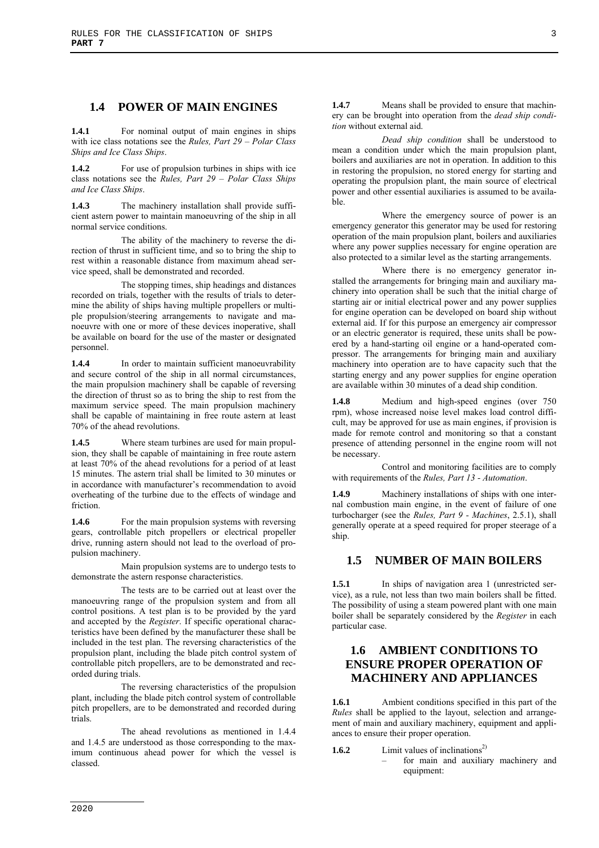## **1.4 POWER OF MAIN ENGINES**

**1.4.1** For nominal output of main engines in ships with ice class notations see the *Rules, Part 29 – Polar Class Ships and Ice Class Ships*.

**1.4.2** For use of propulsion turbines in ships with ice class notations see the *Rules, Part 29 – Polar Class Ships and Ice Class Ships*.

**1.4.3** The machinery installation shall provide sufficient astern power to maintain manoeuvring of the ship in all normal service conditions.

The ability of the machinery to reverse the direction of thrust in sufficient time, and so to bring the ship to rest within a reasonable distance from maximum ahead service speed, shall be demonstrated and recorded.

The stopping times, ship headings and distances recorded on trials, together with the results of trials to determine the ability of ships having multiple propellers or multiple propulsion/steering arrangements to navigate and manoeuvre with one or more of these devices inoperative, shall be available on board for the use of the master or designated personnel.

**1.4.4** In order to maintain sufficient manoeuvrability and secure control of the ship in all normal circumstances, the main propulsion machinery shall be capable of reversing the direction of thrust so as to bring the ship to rest from the maximum service speed. The main propulsion machinery shall be capable of maintaining in free route astern at least 70% of the ahead revolutions.

**1.4.5** Where steam turbines are used for main propulsion, they shall be capable of maintaining in free route astern at least 70% of the ahead revolutions for a period of at least 15 minutes. The astern trial shall be limited to 30 minutes or in accordance with manufacturer's recommendation to avoid overheating of the turbine due to the effects of windage and friction.

**1.4.6** For the main propulsion systems with reversing gears, controllable pitch propellers or electrical propeller drive, running astern should not lead to the overload of propulsion machinery.

Main propulsion systems are to undergo tests to demonstrate the astern response characteristics.

The tests are to be carried out at least over the manoeuvring range of the propulsion system and from all control positions. A test plan is to be provided by the yard and accepted by the *Register*. If specific operational characteristics have been defined by the manufacturer these shall be included in the test plan. The reversing characteristics of the propulsion plant, including the blade pitch control system of controllable pitch propellers, are to be demonstrated and recorded during trials.

The reversing characteristics of the propulsion plant, including the blade pitch control system of controllable pitch propellers, are to be demonstrated and recorded during trials.

The ahead revolutions as mentioned in 1.4.4 and 1.4.5 are understood as those corresponding to the maximum continuous ahead power for which the vessel is classed.

**1.4.7** Means shall be provided to ensure that machinery can be brought into operation from the *dead ship condition* without external aid.

*Dead ship condition* shall be understood to mean a condition under which the main propulsion plant, boilers and auxiliaries are not in operation. In addition to this in restoring the propulsion, no stored energy for starting and operating the propulsion plant, the main source of electrical power and other essential auxiliaries is assumed to be available.

Where the emergency source of power is an emergency generator this generator may be used for restoring operation of the main propulsion plant, boilers and auxiliaries where any power supplies necessary for engine operation are also protected to a similar level as the starting arrangements.

Where there is no emergency generator installed the arrangements for bringing main and auxiliary machinery into operation shall be such that the initial charge of starting air or initial electrical power and any power supplies for engine operation can be developed on board ship without external aid. If for this purpose an emergency air compressor or an electric generator is required, these units shall be powered by a hand-starting oil engine or a hand-operated compressor. The arrangements for bringing main and auxiliary machinery into operation are to have capacity such that the starting energy and any power supplies for engine operation are available within 30 minutes of a dead ship condition.

**1.4.8** Medium and high-speed engines (over 750 rpm), whose increased noise level makes load control difficult, may be approved for use as main engines, if provision is made for remote control and monitoring so that a constant presence of attending personnel in the engine room will not be necessary.

Control and monitoring facilities are to comply with requirements of the *Rules, Part 13 - Automation*.

**1.4.9** Machinery installations of ships with one internal combustion main engine, in the event of failure of one turbocharger (see the *Rules, Part 9 - Machines*, 2.5.1), shall generally operate at a speed required for proper steerage of a ship.

# **1.5 NUMBER OF MAIN BOILERS**

**1.5.1** In ships of navigation area 1 (unrestricted service), as a rule, not less than two main boilers shall be fitted. The possibility of using a steam powered plant with one main boiler shall be separately considered by the *Register* in each particular case.

# **1.6 AMBIENT CONDITIONS TO ENSURE PROPER OPERATION OF MACHINERY AND APPLIANCES**

**1.6.1** Ambient conditions specified in this part of the *Rules* shall be applied to the layout, selection and arrangement of main and auxiliary machinery, equipment and appliances to ensure their proper operation.

- **1.6.2** Limit values of inclinations<sup>2)</sup>
	- for main and auxiliary machinery and equipment: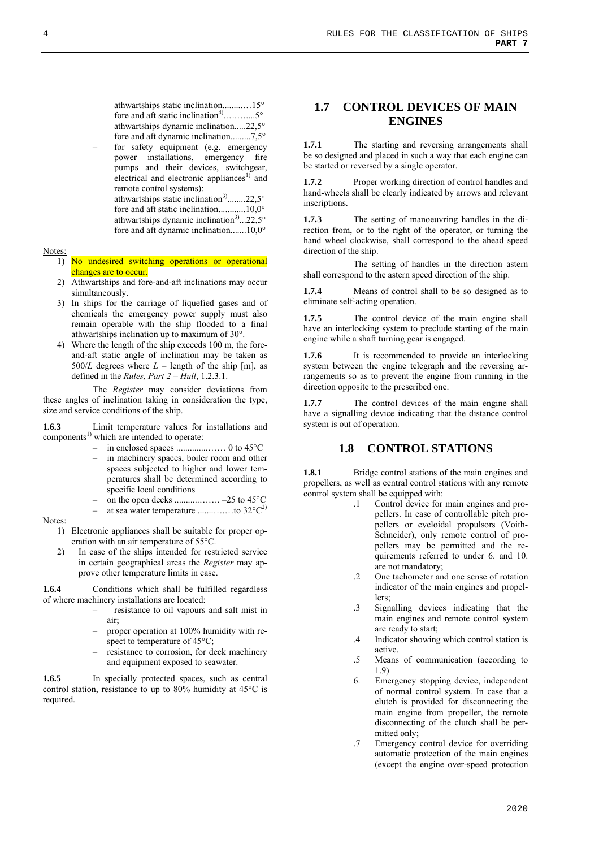athwartships static inclination.........…15° fore and aft static inclination<sup>4)</sup>................5° athwartships dynamic inclination.....22,5° fore and aft dynamic inclination.........7,5°

for safety equipment (e.g. emergency power installations, emergency fire pumps and their devices, switchgear, electrical and electronic appliances $\overline{1}$  and remote control systems): athwartships static inclination<sup>3)</sup>........22,5 $^{\circ}$ 

fore and aft static inclination............10,0° athwartships dynamic inclination<sup>3)</sup>...22,5° fore and aft dynamic inclination.......10,0°

#### Notes:

- 1) No undesired switching operations or operational changes are to occur.
- 2) Athwartships and fore-and-aft inclinations may occur simultaneously.
- 3) In ships for the carriage of liquefied gases and of chemicals the emergency power supply must also remain operable with the ship flooded to a final athwartships inclination up to maximum of 30°.
- 4) Where the length of the ship exceeds 100 m, the foreand-aft static angle of inclination may be taken as 500/*L* degrees where  $L$  – length of the ship [m], as defined in the *Rules, Part 2 – Hull*, 1.2.3.1.

The *Register* may consider deviations from these angles of inclination taking in consideration the type, size and service conditions of the ship.

**1.6.3** Limit temperature values for installations and  $components<sup>1</sup>$  which are intended to operate:

- in enclosed spaces ..............…… 0 to 45°C
- in machinery spaces, boiler room and other spaces subjected to higher and lower temperatures shall be determined according to specific local conditions
- on the open decks ...........……. –25 to 45°C
- at sea water temperature .......….…to 32°C2)

#### Notes:

- 1) Electronic appliances shall be suitable for proper operation with an air temperature of 55°C.
- 2) In case of the ships intended for restricted service in certain geographical areas the *Register* may approve other temperature limits in case.

**1.6.4** Conditions which shall be fulfilled regardless of where machinery installations are located:

- resistance to oil vapours and salt mist in air;
- proper operation at 100% humidity with respect to temperature of 45°C;
- resistance to corrosion, for deck machinery and equipment exposed to seawater.

**1.6.5** In specially protected spaces, such as central control station, resistance to up to 80% humidity at 45°C is required.

# **1.7 CONTROL DEVICES OF MAIN ENGINES**

**1.7.1** The starting and reversing arrangements shall be so designed and placed in such a way that each engine can be started or reversed by a single operator.

**1.7.2** Proper working direction of control handles and hand-wheels shall be clearly indicated by arrows and relevant inscriptions.

**1.7.3** The setting of manoeuvring handles in the direction from, or to the right of the operator, or turning the hand wheel clockwise, shall correspond to the ahead speed direction of the ship.

The setting of handles in the direction astern shall correspond to the astern speed direction of the ship.

**1.7.4** Means of control shall to be so designed as to eliminate self-acting operation.

**1.7.5** The control device of the main engine shall have an interlocking system to preclude starting of the main engine while a shaft turning gear is engaged.

It is recommended to provide an interlocking system between the engine telegraph and the reversing arrangements so as to prevent the engine from running in the direction opposite to the prescribed one.

**1.7.7** The control devices of the main engine shall have a signalling device indicating that the distance control system is out of operation.

## **1.8 CONTROL STATIONS**

**1.8.1** Bridge control stations of the main engines and propellers, as well as central control stations with any remote control system shall be equipped with:

- .1 Control device for main engines and propellers. In case of controllable pitch propellers or cycloidal propulsors (Voith-Schneider), only remote control of propellers may be permitted and the requirements referred to under 6. and 10. are not mandatory;
	- .2 One tachometer and one sense of rotation indicator of the main engines and propellers;
	- .3 Signalling devices indicating that the main engines and remote control system are ready to start;
	- .4 Indicator showing which control station is active.
	- .5 Means of communication (according to 1.9)
	- 6. Emergency stopping device, independent of normal control system. In case that a clutch is provided for disconnecting the main engine from propeller, the remote disconnecting of the clutch shall be permitted only;
	- .7 Emergency control device for overriding automatic protection of the main engines (except the engine over-speed protection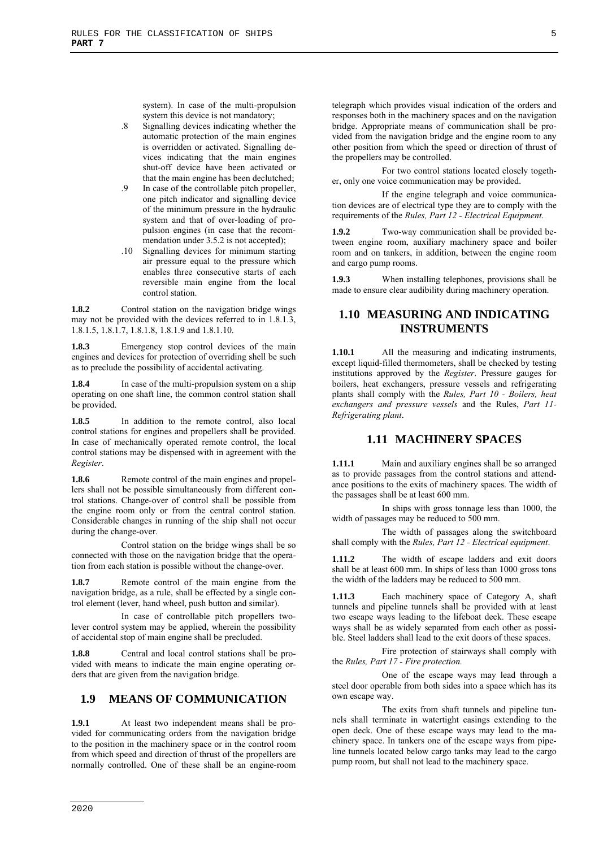system). In case of the multi-propulsion system this device is not mandatory;

- .8 Signalling devices indicating whether the automatic protection of the main engines is overridden or activated. Signalling devices indicating that the main engines shut-off device have been activated or that the main engine has been declutched;
- .9 In case of the controllable pitch propeller, one pitch indicator and signalling device of the minimum pressure in the hydraulic system and that of over-loading of propulsion engines (in case that the recommendation under 3.5.2 is not accepted);
- .10 Signalling devices for minimum starting air pressure equal to the pressure which enables three consecutive starts of each reversible main engine from the local control station.

1.8.2 Control station on the navigation bridge wings may not be provided with the devices referred to in 1.8.1.3. 1.8.1.5, 1.8.1.7, 1.8.1.8, 1.8.1.9 and 1.8.1.10.

1.8.3 Emergency stop control devices of the main engines and devices for protection of overriding shell be such as to preclude the possibility of accidental activating.

**1.8.4** In case of the multi-propulsion system on a ship operating on one shaft line, the common control station shall be provided.

1.8.5 In addition to the remote control, also local control stations for engines and propellers shall be provided. In case of mechanically operated remote control, the local control stations may be dispensed with in agreement with the *Register*.

**1.8.6** Remote control of the main engines and propellers shall not be possible simultaneously from different control stations. Change-over of control shall be possible from the engine room only or from the central control station. Considerable changes in running of the ship shall not occur during the change-over.

Control station on the bridge wings shall be so connected with those on the navigation bridge that the operation from each station is possible without the change-over.

Remote control of the main engine from the navigation bridge, as a rule, shall be effected by a single control element (lever, hand wheel, push button and similar).

In case of controllable pitch propellers twolever control system may be applied, wherein the possibility of accidental stop of main engine shall be precluded.

1.8.8 Central and local control stations shall be provided with means to indicate the main engine operating orders that are given from the navigation bridge.

# **1.9 MEANS OF COMMUNICATION**

**1.9.1** At least two independent means shall be provided for communicating orders from the navigation bridge to the position in the machinery space or in the control room from which speed and direction of thrust of the propellers are normally controlled. One of these shall be an engine-room

telegraph which provides visual indication of the orders and responses both in the machinery spaces and on the navigation bridge. Appropriate means of communication shall be provided from the navigation bridge and the engine room to any other position from which the speed or direction of thrust of the propellers may be controlled.

For two control stations located closely together, only one voice communication may be provided.

If the engine telegraph and voice communication devices are of electrical type they are to comply with the requirements of the *Rules, Part 12 - Electrical Equipment*.

**1.9.2** Two-way communication shall be provided between engine room, auxiliary machinery space and boiler room and on tankers, in addition, between the engine room and cargo pump rooms.

**1.9.3** When installing telephones, provisions shall be made to ensure clear audibility during machinery operation.

# **1.10 MEASURING AND INDICATING INSTRUMENTS**

**1.10.1** All the measuring and indicating instruments, except liquid-filled thermometers, shall be checked by testing institutions approved by the *Register*. Pressure gauges for boilers, heat exchangers, pressure vessels and refrigerating plants shall comply with the *Rules, Part 10 - Boilers, heat exchangers and pressure vessels* and the Rules, *Part 11- Refrigerating plant*.

# **1.11 MACHINERY SPACES**

**1.11.1** Main and auxiliary engines shall be so arranged as to provide passages from the control stations and attendance positions to the exits of machinery spaces. The width of the passages shall be at least 600 mm.

In ships with gross tonnage less than 1000, the width of passages may be reduced to 500 mm.

The width of passages along the switchboard shall comply with the *Rules, Part 12 - Electrical equipment*.

**1.11.2** The width of escape ladders and exit doors shall be at least 600 mm. In ships of less than 1000 gross tons the width of the ladders may be reduced to 500 mm.

**1.11.3** Each machinery space of Category A, shaft tunnels and pipeline tunnels shall be provided with at least two escape ways leading to the lifeboat deck. These escape ways shall be as widely separated from each other as possible. Steel ladders shall lead to the exit doors of these spaces.

Fire protection of stairways shall comply with the *Rules, Part 17 - Fire protection.*

One of the escape ways may lead through a steel door operable from both sides into a space which has its own escape way.

The exits from shaft tunnels and pipeline tunnels shall terminate in watertight casings extending to the open deck. One of these escape ways may lead to the machinery space. In tankers one of the escape ways from pipeline tunnels located below cargo tanks may lead to the cargo pump room, but shall not lead to the machinery space.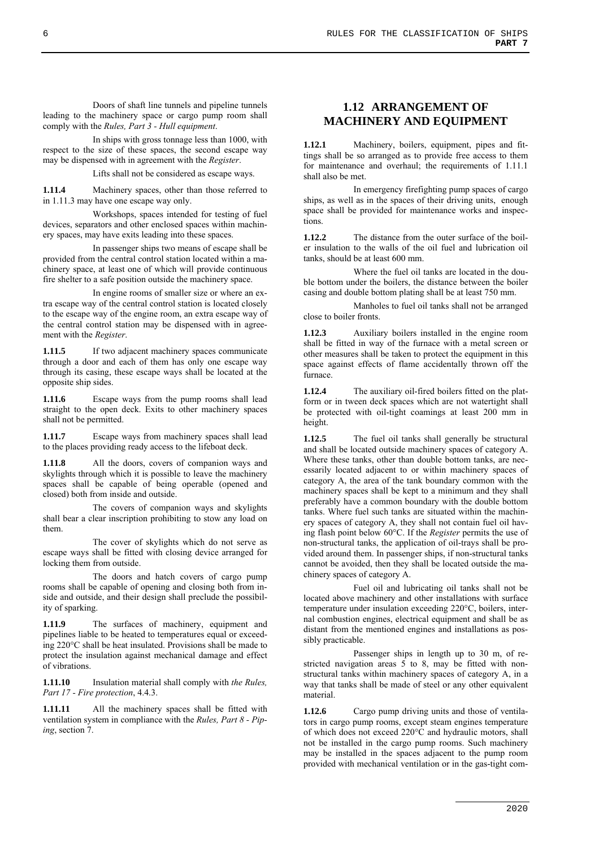Doors of shaft line tunnels and pipeline tunnels leading to the machinery space or cargo pump room shall comply with the *Rules, Part 3 - Hull equipment*.

In ships with gross tonnage less than 1000, with respect to the size of these spaces, the second escape way may be dispensed with in agreement with the *Register*.

Lifts shall not be considered as escape ways.

**1.11.4** Machinery spaces, other than those referred to in 1.11.3 may have one escape way only.

Workshops, spaces intended for testing of fuel devices, separators and other enclosed spaces within machinery spaces, may have exits leading into these spaces.

In passenger ships two means of escape shall be provided from the central control station located within a machinery space, at least one of which will provide continuous fire shelter to a safe position outside the machinery space.

In engine rooms of smaller size or where an extra escape way of the central control station is located closely to the escape way of the engine room, an extra escape way of the central control station may be dispensed with in agreement with the *Register*.

**1.11.5** If two adjacent machinery spaces communicate through a door and each of them has only one escape way through its casing, these escape ways shall be located at the opposite ship sides.

**1.11.6** Escape ways from the pump rooms shall lead straight to the open deck. Exits to other machinery spaces shall not be permitted.

**1.11.7** Escape ways from machinery spaces shall lead to the places providing ready access to the lifeboat deck.

All the doors, covers of companion ways and skylights through which it is possible to leave the machinery spaces shall be capable of being operable (opened and closed) both from inside and outside.

The covers of companion ways and skylights shall bear a clear inscription prohibiting to stow any load on them.

The cover of skylights which do not serve as escape ways shall be fitted with closing device arranged for locking them from outside.

The doors and hatch covers of cargo pump rooms shall be capable of opening and closing both from inside and outside, and their design shall preclude the possibility of sparking.

**1.11.9** The surfaces of machinery, equipment and pipelines liable to be heated to temperatures equal or exceeding 220°C shall be heat insulated. Provisions shall be made to protect the insulation against mechanical damage and effect of vibrations.

**1.11.10** Insulation material shall comply with *the Rules, Part 17 - Fire protection*, 4.4.3.

All the machinery spaces shall be fitted with ventilation system in compliance with the *Rules, Part 8 - Piping*, section 7.

# **1.12 ARRANGEMENT OF MACHINERY AND EQUIPMENT**

**1.12.1** Machinery, boilers, equipment, pipes and fittings shall be so arranged as to provide free access to them for maintenance and overhaul; the requirements of 1.11.1 shall also be met.

In emergency firefighting pump spaces of cargo ships, as well as in the spaces of their driving units, enough space shall be provided for maintenance works and inspections.

**1.12.2** The distance from the outer surface of the boiler insulation to the walls of the oil fuel and lubrication oil tanks, should be at least 600 mm.

Where the fuel oil tanks are located in the double bottom under the boilers, the distance between the boiler casing and double bottom plating shall be at least 750 mm.

Manholes to fuel oil tanks shall not be arranged close to boiler fronts.

**1.12.3** Auxiliary boilers installed in the engine room shall be fitted in way of the furnace with a metal screen or other measures shall be taken to protect the equipment in this space against effects of flame accidentally thrown off the furnace.

**1.12.4** The auxiliary oil-fired boilers fitted on the platform or in tween deck spaces which are not watertight shall be protected with oil-tight coamings at least 200 mm in height.

**1.12.5** The fuel oil tanks shall generally be structural and shall be located outside machinery spaces of category A. Where these tanks, other than double bottom tanks, are necessarily located adjacent to or within machinery spaces of category A, the area of the tank boundary common with the machinery spaces shall be kept to a minimum and they shall preferably have a common boundary with the double bottom tanks. Where fuel such tanks are situated within the machinery spaces of category A, they shall not contain fuel oil having flash point below 60°C. If the *Register* permits the use of non-structural tanks, the application of oil-trays shall be provided around them. In passenger ships, if non-structural tanks cannot be avoided, then they shall be located outside the machinery spaces of category A.

Fuel oil and lubricating oil tanks shall not be located above machinery and other installations with surface temperature under insulation exceeding 220°C, boilers, internal combustion engines, electrical equipment and shall be as distant from the mentioned engines and installations as possibly practicable.

Passenger ships in length up to 30 m, of restricted navigation areas 5 to 8, may be fitted with nonstructural tanks within machinery spaces of category A, in a way that tanks shall be made of steel or any other equivalent material.

**1.12.6** Cargo pump driving units and those of ventilators in cargo pump rooms, except steam engines temperature of which does not exceed 220°C and hydraulic motors, shall not be installed in the cargo pump rooms. Such machinery may be installed in the spaces adjacent to the pump room provided with mechanical ventilation or in the gas-tight com-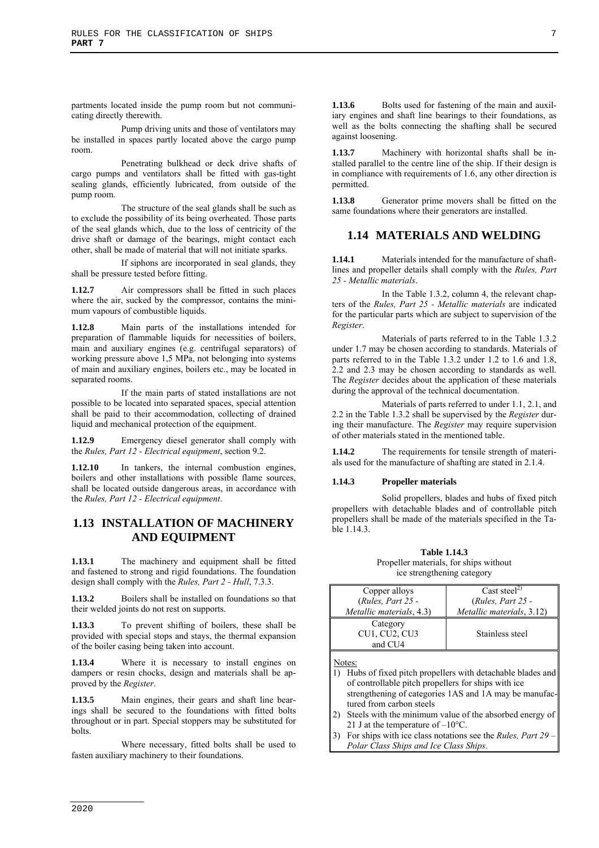partments located inside the pump room but not communicating directly therewith.

Pump driving units and those of ventilators may be installed in spaces partly located above the cargo pump room.

Penetrating bulkhead or deck drive shafts of cargo pumps and ventilators shall be fitted with gas-tight sealing glands, efficiently lubricated, from outside of the pump room.

The structure of the seal glands shall be such as to exclude the possibility of its being overheated. Those parts of the seal glands which, due to the loss of centricity of the drive shaft or damage of the bearings, might contact each other, shall be made of material that will not initiate sparks.

If siphons are incorporated in seal glands, they shall be pressure tested before fitting.

**1.12.7** Air compressors shall be fitted in such places where the air, sucked by the compressor, contains the minimum vapours of combustible liquids.

**1.12.8** Main parts of the installations intended for preparation of flammable liquids for necessities of boilers, main and auxiliary engines (e.g. centrifugal separators) of working pressure above 1,5 MPa, not belonging into systems of main and auxiliary engines, boilers etc., may be located in separated rooms.

If the main parts of stated installations are not possible to be located into separated spaces, special attention shall be paid to their accommodation, collecting of drained liquid and mechanical protection of the equipment.

**1.12.9** Emergency diesel generator shall comply with the *Rules, Part 12 - Electrical equipment*, section 9.2.

**1.12.10** In tankers, the internal combustion engines, boilers and other installations with possible flame sources, shall be located outside dangerous areas, in accordance with the *Rules, Part 12 - Electrical equipment*.

# **1.13 INSTALLATION OF MACHINERY AND EQUIPMENT**

**1.13.1** The machinery and equipment shall be fitted and fastened to strong and rigid foundations. The foundation design shall comply with the *Rules, Part 2 - Hull*, 7.3.3.

**1.13.2** Boilers shall be installed on foundations so that their welded joints do not rest on supports.

**1.13.3** To prevent shifting of boilers, these shall be provided with special stops and stays, the thermal expansion of the boiler casing being taken into account.

**1.13.4** Where it is necessary to install engines on dampers or resin chocks, design and materials shall be approved by the *Register*.

Main engines, their gears and shaft line bearings shall be secured to the foundations with fitted bolts throughout or in part. Special stoppers may be substituted for bolts.

Where necessary, fitted bolts shall be used to fasten auxiliary machinery to their foundations.

**1.13.6** Bolts used for fastening of the main and auxiliary engines and shaft line bearings to their foundations, as well as the bolts connecting the shafting shall be secured against loosening.

**1.13.7** Machinery with horizontal shafts shall be installed parallel to the centre line of the ship. If their design is in compliance with requirements of 1.6, any other direction is permitted.

**1.13.8** Generator prime movers shall be fitted on the same foundations where their generators are installed.

# **1.14 MATERIALS AND WELDING**

**1.14.1** Materials intended for the manufacture of shaftlines and propeller details shall comply with the *Rules, Part 25 - Metallic materials*.

In the Table 1.3.2, column 4, the relevant chapters of the *Rules, Part 25 - Metallic materials* are indicated for the particular parts which are subject to supervision of the *Register*.

Materials of parts referred to in the Table 1.3.2 under 1.7 may be chosen according to standards. Materials of parts referred to in the Table 1.3.2 under 1.2 to 1.6 and 1.8, 2.2 and 2.3 may be chosen according to standards as well. The *Register* decides about the application of these materials during the approval of the technical documentation.

Materials of parts referred to under 1.1, 2.1, and 2.2 in the Table 1.3.2 shall be supervised by the *Register* during their manufacture. The *Register* may require supervision of other materials stated in the mentioned table.

**1.14.2** The requirements for tensile strength of materials used for the manufacture of shafting are stated in 2.1.4.

#### **1.14.3 Propeller materials**

Solid propellers, blades and hubs of fixed pitch propellers with detachable blades and of controllable pitch propellers shall be made of the materials specified in the Table 1.14.3.

#### **Table 1.14.3**  Propeller materials, for ships without

ice strengthening category

| Copper alloys                   | Cast steel <sup>2)</sup>  |
|---------------------------------|---------------------------|
| $(Rules, Part 25 -$             | $(Rules, Part 25 -$       |
| <i>Metallic materials, 4.3)</i> | Metallic materials, 3.12) |
| Category                        |                           |
| <b>CU1, CU2, CU3</b>            | Stainless steel           |
| and CU <sub>4</sub>             |                           |
|                                 |                           |

Notes:

- 1) Hubs of fixed pitch propellers with detachable blades and of controllable pitch propellers for ships with ice strengthening of categories 1AS and 1A may be manufactured from carbon steels
- 2) Steels with the minimum value of the absorbed energy of 21 J at the temperature of –10°C.
- 3) For ships with ice class notations see the *Rules, Part 29 – Polar Class Ships and Ice Class Ships*.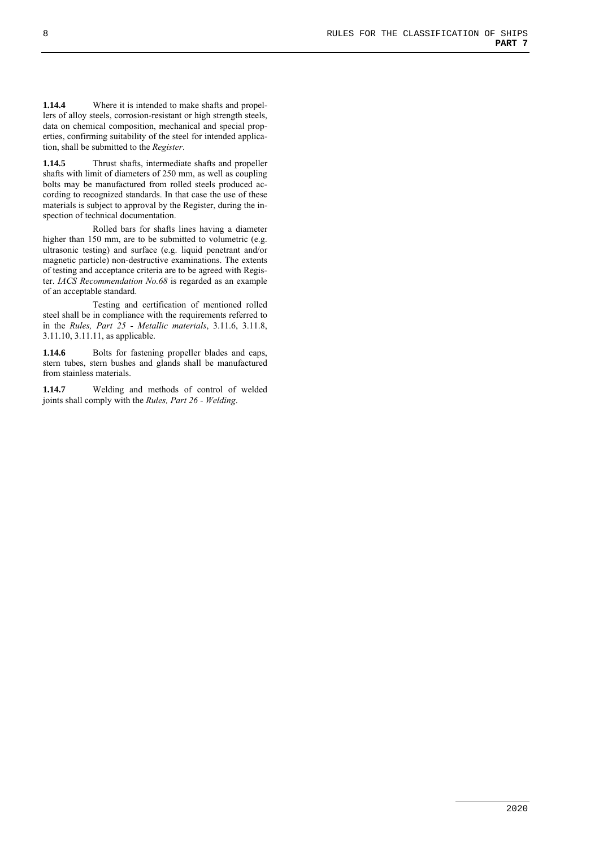**1.14.4** Where it is intended to make shafts and propellers of alloy steels, corrosion-resistant or high strength steels, data on chemical composition, mechanical and special properties, confirming suitability of the steel for intended application, shall be submitted to the *Register*.

**1.14.5** Thrust shafts, intermediate shafts and propeller shafts with limit of diameters of 250 mm, as well as coupling bolts may be manufactured from rolled steels produced according to recognized standards. In that case the use of these materials is subject to approval by the Register, during the inspection of technical documentation.

Rolled bars for shafts lines having a diameter higher than 150 mm, are to be submitted to volumetric (e.g. ultrasonic testing) and surface (e.g. liquid penetrant and/or magnetic particle) non-destructive examinations. The extents of testing and acceptance criteria are to be agreed with Register. *IACS Recommendation No.68* is regarded as an example of an acceptable standard.

Testing and certification of mentioned rolled steel shall be in compliance with the requirements referred to in the *Rules, Part 25 - Metallic materials*, 3.11.6, 3.11.8, 3.11.10, 3.11.11, as applicable.

1.14.6 Bolts for fastening propeller blades and caps, stern tubes, stern bushes and glands shall be manufactured from stainless materials.

**1.14.7** Welding and methods of control of welded joints shall comply with the *Rules, Part 26 - Welding*.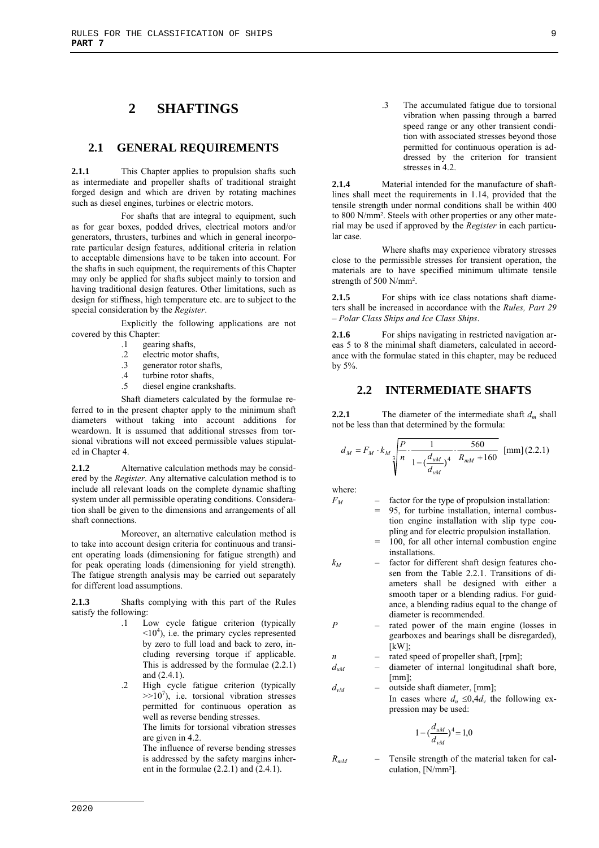# **2 SHAFTINGS**

## **2.1 GENERAL REQUIREMENTS**

**2.1.1** This Chapter applies to propulsion shafts such as intermediate and propeller shafts of traditional straight forged design and which are driven by rotating machines such as diesel engines, turbines or electric motors.

For shafts that are integral to equipment, such as for gear boxes, podded drives, electrical motors and/or generators, thrusters, turbines and which in general incorporate particular design features, additional criteria in relation to acceptable dimensions have to be taken into account. For the shafts in such equipment, the requirements of this Chapter may only be applied for shafts subject mainly to torsion and having traditional design features. Other limitations, such as design for stiffness, high temperature etc. are to subject to the special consideration by the *Register*.

Explicitly the following applications are not covered by this Chapter:

- .1 gearing shafts,
- .2 electric motor shafts,
- .3 generator rotor shafts,
- .4 turbine rotor shafts,
- .5 diesel engine crankshafts.

Shaft diameters calculated by the formulae referred to in the present chapter apply to the minimum shaft diameters without taking into account additions for weardown. It is assumed that additional stresses from torsional vibrations will not exceed permissible values stipulated in Chapter 4.

**2.1.2** Alternative calculation methods may be considered by the *Register*. Any alternative calculation method is to include all relevant loads on the complete dynamic shafting system under all permissible operating conditions. Consideration shall be given to the dimensions and arrangements of all shaft connections.

Moreover, an alternative calculation method is to take into account design criteria for continuous and transient operating loads (dimensioning for fatigue strength) and for peak operating loads (dimensioning for yield strength). The fatigue strength analysis may be carried out separately for different load assumptions.

**2.1.3** Shafts complying with this part of the Rules satisfy the following:

- .1 Low cycle fatigue criterion (typically  $\leq 10^4$ ), i.e. the primary cycles represented by zero to full load and back to zero, including reversing torque if applicable. This is addressed by the formulae (2.2.1) and (2.4.1).
- .2 High cycle fatigue criterion (typically  $>>10<sup>7</sup>$ ), i.e. torsional vibration stresses permitted for continuous operation as well as reverse bending stresses.

The limits for torsional vibration stresses are given in 4.2.

The influence of reverse bending stresses is addressed by the safety margins inherent in the formulae  $(2.2.1)$  and  $(2.4.1)$ .

.3 The accumulated fatigue due to torsional vibration when passing through a barred speed range or any other transient condition with associated stresses beyond those permitted for continuous operation is addressed by the criterion for transient stresses in 4.2.

**2.1.4** Material intended for the manufacture of shaftlines shall meet the requirements in 1.14, provided that the tensile strength under normal conditions shall be within 400 to 800 N/mm². Steels with other properties or any other material may be used if approved by the *Register* in each particular case.

Where shafts may experience vibratory stresses close to the permissible stresses for transient operation, the materials are to have specified minimum ultimate tensile strength of 500 N/mm².

**2.1.5** For ships with ice class notations shaft diameters shall be increased in accordance with the *Rules, Part 29 – Polar Class Ships and Ice Class Ships*.

**2.1.6** For ships navigating in restricted navigation areas 5 to 8 the minimal shaft diameters, calculated in accordance with the formulae stated in this chapter, may be reduced by 5%.

## **2.2 INTERMEDIATE SHAFTS**

**2.2.1** The diameter of the intermediate shaft  $d_m$  shall not be less than that determined by the formula:

$$
d_{M} = F_{M} \cdot k_{M} \sqrt[3]{\frac{P}{n} \cdot \frac{1}{1 - (\frac{d_{uM}}{d_{vM}})^{4}}} \cdot \frac{560}{R_{mM} + 160}} \text{ [mm]}(2.2.1)
$$

where:

- $F_M$  factor for the type of propulsion installation:
	- 95, for turbine installation, internal combustion engine installation with slip type coupling and for electric propulsion installation.
	- = 100, for all other internal combustion engine installations.
- *kM* factor for different shaft design features chosen from the Table 2.2.1. Transitions of diameters shall be designed with either a smooth taper or a blending radius. For guidance, a blending radius equal to the change of diameter is recommended.
- *P* rated power of the main engine (losses in gearboxes and bearings shall be disregarded),  $[kW]$ ;
- *n* rated speed of propeller shaft, [rpm];
- *duM* diameter of internal longitudinal shaft bore, [mm];
- *dvM* outside shaft diameter, [mm]; In cases where  $d_u \leq 0.4d_v$  the following expression may be used:

$$
1 - \left(\frac{d_{uM}}{d_{vM}}\right)^4 = 1,0
$$

*RmM* – Tensile strength of the material taken for calculation, [N/mm²].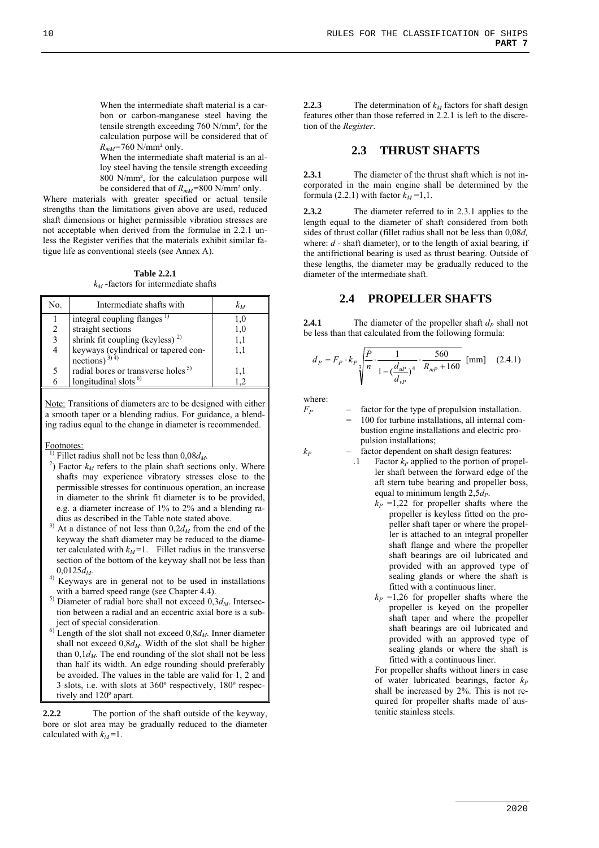When the intermediate shaft material is a carbon or carbon-manganese steel having the tensile strength exceeding 760 N/mm², for the calculation purpose will be considered that of *RmM=*760 N/mm² only.

 When the intermediate shaft material is an alloy steel having the tensile strength exceeding 800 N/mm², for the calculation purpose will be considered that of *RmM=*800 N/mm² only.

Where materials with greater specified or actual tensile strengths than the limitations given above are used, reduced shaft dimensions or higher permissible vibration stresses are not acceptable when derived from the formulae in 2.2.1 unless the Register verifies that the materials exhibit similar fatigue life as conventional steels (see Annex A).

**Table 2.2.1**   $k_M$ -factors for intermediate shafts

| No. | Intermediate shafts with                                           | $k_M$ |
|-----|--------------------------------------------------------------------|-------|
|     | integral coupling flanges <sup>1)</sup>                            | 1.0   |
| 2   | straight sections                                                  | 1,0   |
| 3   | shrink fit coupling (keyless) <sup>2)</sup>                        | 1,1   |
| 4   | keyways (cylindrical or tapered con-<br>nections) <sup>3) 4)</sup> | 1.1   |
| 5   | radial bores or transverse holes <sup>5)</sup>                     | 1.1   |
| 6   | longitudinal slots <sup>6)</sup>                                   |       |
|     |                                                                    |       |

Note: Transitions of diameters are to be designed with either a smooth taper or a blending radius. For guidance, a blending radius equal to the change in diameter is recommended.

Footnotes:

<sup>1)</sup> Fillet radius shall not be less than  $0.08d<sub>M</sub>$ .

- <sup>2</sup>) Factor  $k_M$  refers to the plain shaft sections only. Where shafts may experience vibratory stresses close to the permissible stresses for continuous operation, an increase in diameter to the shrink fit diameter is to be provided, e.g. a diameter increase of 1% to 2% and a blending radius as described in the Table note stated above.
- $3)$  At a distance of not less than  $0,2d_M$  from the end of the keyway the shaft diameter may be reduced to the diameter calculated with  $k_M$ =1. Fillet radius in the transverse section of the bottom of the keyway shall not be less than
- $0.0125d_M$ .<br><sup>4)</sup> Keyways are in general not to be used in installations with a barred speed range (see Chapter 4.4).
- $^{5)}$  Diameter of radial bore shall not exceed  $0,3d<sub>M</sub>$ . Intersection between a radial and an eccentric axial bore is a subject of special consideration.
- $6)$  Length of the slot shall not exceed  $0, 8d_M$ . Inner diameter shall not exceed  $0, 8d_M$ . Width of the slot shall be higher than  $0,1d_M$ . The end rounding of the slot shall not be less than half its width. An edge rounding should preferably be avoided. The values in the table are valid for 1, 2 and 3 slots, i.e. with slots at 360º respectively, 180º respectively and 120º apart.

**2.2.2** The portion of the shaft outside of the keyway, bore or slot area may be gradually reduced to the diameter calculated with  $k_M = 1$ .

**2.2.3** The determination of  $k_M$  factors for shaft design features other than those referred in 2.2.1 is left to the discretion of the *Register*.

## **2.3 THRUST SHAFTS**

**2.3.1** The diameter of the thrust shaft which is not incorporated in the main engine shall be determined by the formula (2.2.1) with factor  $k_M = 1, 1$ .

**2.3.2** The diameter referred to in 2.3.1 applies to the length equal to the diameter of shaft considered from both sides of thrust collar (fillet radius shall not be less than 0,08*d,*  where: *d* - shaft diameter), or to the length of axial bearing, if the antifrictional bearing is used as thrust bearing. Outside of these lengths, the diameter may be gradually reduced to the diameter of the intermediate shaft.

## **2.4 PROPELLER SHAFTS**

**2.4.1** The diameter of the propeller shaft  $d_P$  shall not be less than that calculated from the following formula:

$$
d_P = F_P \cdot k_P \sqrt{\frac{P}{n} \cdot \frac{1}{1 - (\frac{d_{up}}{d_{vp}})^4} \cdot \frac{560}{R_{mp} + 160}} \text{ [mm]} (2.4.1)
$$

where:

 $F_P$  – factor for the type of propulsion installation. = 100 for turbine installations, all internal combustion engine installations and electric propulsion installations;

- $k_P$  factor dependent on shaft design features:
	- $\Gamma$  Factor  $k_P$  applied to the portion of propeller shaft between the forward edge of the aft stern tube bearing and propeller boss, equal to minimum length  $2,5d<sub>P</sub>$ .
		- $k_P = 1.22$  for propeller shafts where the propeller is keyless fitted on the propeller shaft taper or where the propeller is attached to an integral propeller shaft flange and where the propeller shaft bearings are oil lubricated and provided with an approved type of sealing glands or where the shaft is fitted with a continuous liner.
		- $k_P$  =1,26 for propeller shafts where the propeller is keyed on the propeller shaft taper and where the propeller shaft bearings are oil lubricated and provided with an approved type of sealing glands or where the shaft is fitted with a continuous liner.

For propeller shafts without liners in case of water lubricated bearings, factor  $k_P$ shall be increased by 2%. This is not required for propeller shafts made of austenitic stainless steels.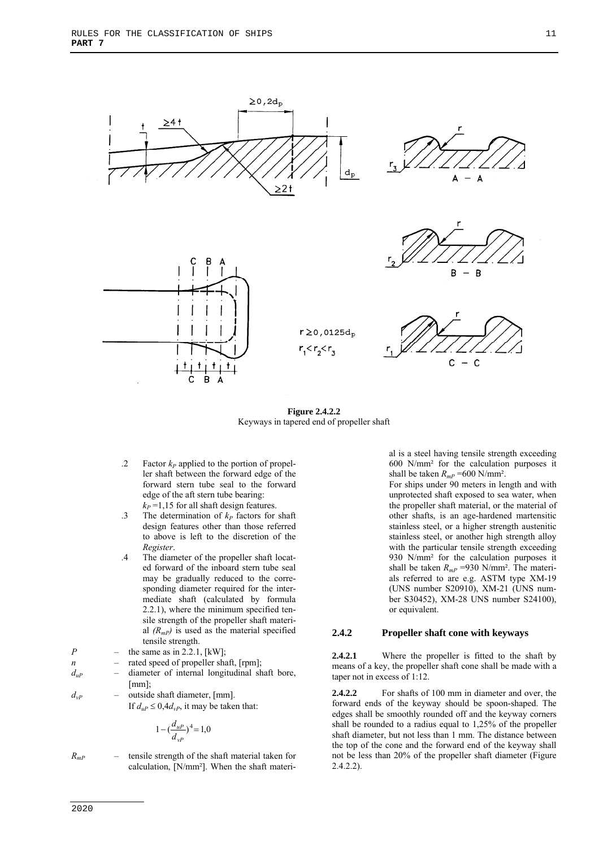

**Figure 2.4.2.2**  Keyways in tapered end of propeller shaft

- .2 Factor  $k_P$  applied to the portion of propeller shaft between the forward edge of the forward stern tube seal to the forward edge of the aft stern tube bearing:  $k_P$  =1,15 for all shaft design features.
- .3 The determination of  $k_P$  factors for shaft design features other than those referred to above is left to the discretion of the *Register*.
- .4 The diameter of the propeller shaft located forward of the inboard stern tube seal may be gradually reduced to the corresponding diameter required for the intermediate shaft (calculated by formula 2.2.1), where the minimum specified tensile strength of the propeller shaft material  $(R_{mP})$  is used as the material specified tensile strength.
- *P* the same as in 2.2.1,  $[kW]$ ;
- *n* rated speed of propeller shaft, [rpm];
- *duP* diameter of internal longitudinal shaft bore,  $[mm]$ ;
- $d_{vP}$  outside shaft diameter, [mm]. If  $d_{\mu} \leq 0.4d_{\nu}$ , it may be taken that:

$$
1 - (\frac{d_{uP}}{d_{vP}})^4 = 1.0
$$

 $R_{mP}$  – tensile strength of the shaft material taken for calculation, [N/mm<sup>2</sup>]. When the shaft material is a steel having tensile strength exceeding 600 N/mm² for the calculation purposes it shall be taken  $R_{mP}$  =600 N/mm<sup>2</sup>.

For ships under 90 meters in length and with unprotected shaft exposed to sea water, when the propeller shaft material, or the material of other shafts, is an age-hardened martensitic stainless steel, or a higher strength austenitic stainless steel, or another high strength alloy with the particular tensile strength exceeding 930 N/mm² for the calculation purposes it shall be taken  $R_{mP}$  =930 N/mm<sup>2</sup>. The materials referred to are e.g. ASTM type XM-19 (UNS number S20910), XM-21 (UNS number S30452), XM-28 UNS number S24100), or equivalent.

#### **2.4.2 Propeller shaft cone with keyways**

**2.4.2.1** Where the propeller is fitted to the shaft by means of a key, the propeller shaft cone shall be made with a taper not in excess of 1:12.

**2.4.2.2** For shafts of 100 mm in diameter and over, the forward ends of the keyway should be spoon-shaped. The edges shall be smoothly rounded off and the keyway corners shall be rounded to a radius equal to 1,25% of the propeller shaft diameter, but not less than 1 mm. The distance between the top of the cone and the forward end of the keyway shall not be less than 20% of the propeller shaft diameter (Figure 2.4.2.2).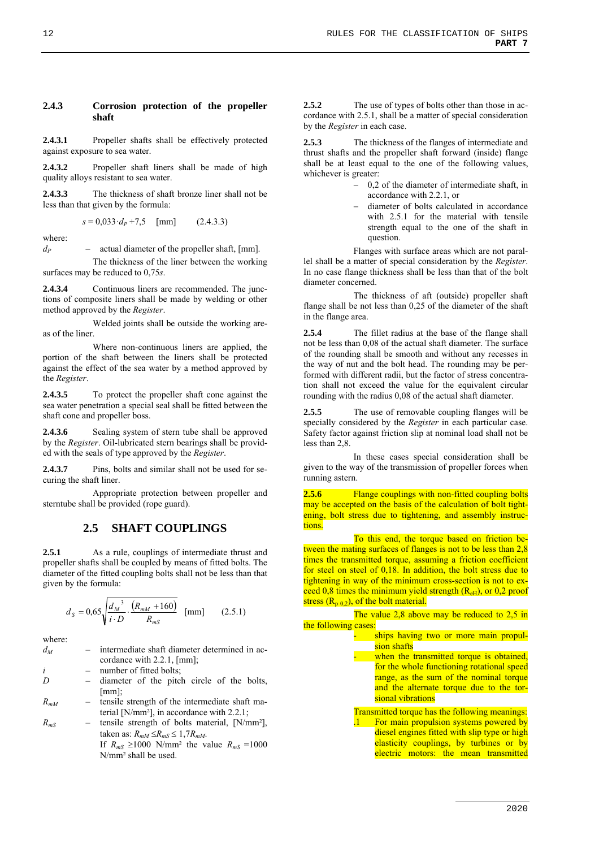#### **2.4.3 Corrosion protection of the propeller shaft**

**2.4.3.1** Propeller shafts shall be effectively protected against exposure to sea water.

**2.4.3.2** Propeller shaft liners shall be made of high quality alloys resistant to sea water.

**2.4.3.3** The thickness of shaft bronze liner shall not be less than that given by the formula:

$$
s = 0.033 \cdot d_P + 7.5 \quad \text{[mm]} \tag{2.4.3.3}
$$

where:

 $d_P$  – actual diameter of the propeller shaft, [mm].

The thickness of the liner between the working surfaces may be reduced to 0,75*s*.

**2.4.3.4** Continuous liners are recommended. The junctions of composite liners shall be made by welding or other method approved by the *Register*.

Welded joints shall be outside the working areas of the liner.

Where non-continuous liners are applied, the portion of the shaft between the liners shall be protected against the effect of the sea water by a method approved by the *Register*.

**2.4.3.5** To protect the propeller shaft cone against the sea water penetration a special seal shall be fitted between the shaft cone and propeller boss.

2.4.3.6 Sealing system of stern tube shall be approved by the *Register*. Oil-lubricated stern bearings shall be provided with the seals of type approved by the *Register*.

**2.4.3.7** Pins, bolts and similar shall not be used for securing the shaft liner.

Appropriate protection between propeller and sterntube shall be provided (rope guard).

# **2.5 SHAFT COUPLINGS**

2.5.1 As a rule, couplings of intermediate thrust and propeller shafts shall be coupled by means of fitted bolts. The diameter of the fitted coupling bolts shall not be less than that given by the formula:

$$
d_S = 0.65 \sqrt{\frac{d_M^3}{i \cdot D} \cdot \frac{(R_{mM} + 160)}{R_{mS}}} \quad \text{[mm]} \tag{2.5.1}
$$

where:

| $d_M$    |     | intermediate shaft diameter determined in ac-       |
|----------|-----|-----------------------------------------------------|
|          |     | cordance with $2.2.1$ , $\lceil \text{mm} \rceil$ ; |
| i        | $-$ | number of fitted bolts;                             |
| D        |     | diameter of the pitch circle of the bolts,          |
|          |     | $[mm]$ :                                            |
| $R_{mM}$ |     | tensile strength of the intermediate shaft ma-      |

- terial [N/mm²], in accordance with 2.2.1;
- *RmS*  tensile strength of bolts material, [N/mm²], taken as:  $R_{mM} \leq R_{mS} \leq 1,7R_{mM}$ . If  $R_{mS} \ge 1000$  N/mm<sup>2</sup> the value  $R_{mS} = 1000$ N/mm² shall be used.

**2.5.2** The use of types of bolts other than those in accordance with 2.5.1, shall be a matter of special consideration by the *Register* in each case.

**2.5.3** The thickness of the flanges of intermediate and thrust shafts and the propeller shaft forward (inside) flange shall be at least equal to the one of the following values, whichever is greater:

- 0,2 of the diameter of intermediate shaft, in accordance with 2.2.1, or
- diameter of bolts calculated in accordance with 2.5.1 for the material with tensile strength equal to the one of the shaft in question.

Flanges with surface areas which are not parallel shall be a matter of special consideration by the *Register*. In no case flange thickness shall be less than that of the bolt diameter concerned.

The thickness of aft (outside) propeller shaft flange shall be not less than 0,25 of the diameter of the shaft in the flange area.

**2.5.4** The fillet radius at the base of the flange shall not be less than 0,08 of the actual shaft diameter. The surface of the rounding shall be smooth and without any recesses in the way of nut and the bolt head. The rounding may be performed with different radii, but the factor of stress concentration shall not exceed the value for the equivalent circular rounding with the radius 0,08 of the actual shaft diameter.

**2.5.5** The use of removable coupling flanges will be specially considered by the *Register* in each particular case. Safety factor against friction slip at nominal load shall not be less than 2,8.

In these cases special consideration shall be given to the way of the transmission of propeller forces when running astern.

**2.5.6** Flange couplings with non-fitted coupling bolts may be accepted on the basis of the calculation of bolt tightening, bolt stress due to tightening, and assembly instructions.

To this end, the torque based on friction between the mating surfaces of flanges is not to be less than 2,8 times the transmitted torque, assuming a friction coefficient for steel on steel of 0,18. In addition, the bolt stress due to tightening in way of the minimum cross-section is not to exceed 0,8 times the minimum yield strength  $(R<sub>eff</sub>)$ , or 0,2 proof stress  $(R_{p,0,2})$ , of the bolt material.

The value 2,8 above may be reduced to 2,5 in the following cases

ships having two or more main propulsion shafts

- when the transmitted torque is obtained, for the whole functioning rotational speed range, as the sum of the nominal torque and the alternate torque due to the torsional vibrations
- Transmitted torque has the following meanings: .1 For main propulsion systems powered by diesel engines fitted with slip type or high elasticity couplings, by turbines or by electric motors: the mean transmitted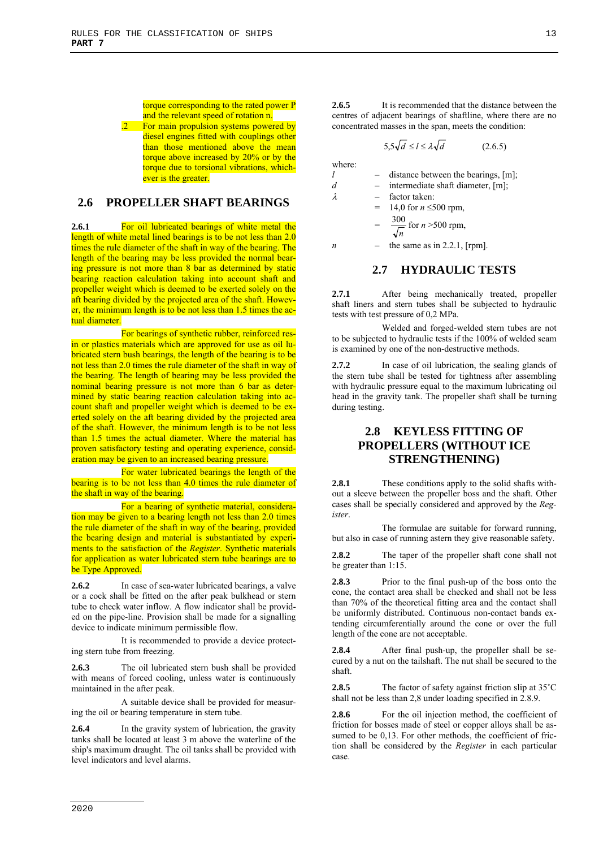torque corresponding to the rated power P and the relevant speed of rotation n.

.2 For main propulsion systems powered by diesel engines fitted with couplings other than those mentioned above the mean torque above increased by 20% or by the torque due to torsional vibrations, whichever is the greater.

# **2.6 PROPELLER SHAFT BEARINGS**

**2.6.1** For oil lubricated bearings of white metal the length of white metal lined bearings is to be not less than 2.0 times the rule diameter of the shaft in way of the bearing. The length of the bearing may be less provided the normal bearing pressure is not more than 8 bar as determined by static bearing reaction calculation taking into account shaft and propeller weight which is deemed to be exerted solely on the aft bearing divided by the projected area of the shaft. However, the minimum length is to be not less than 1.5 times the actual diameter.

For bearings of synthetic rubber, reinforced resin or plastics materials which are approved for use as oil lubricated stern bush bearings, the length of the bearing is to be not less than 2.0 times the rule diameter of the shaft in way of the bearing. The length of bearing may be less provided the nominal bearing pressure is not more than 6 bar as determined by static bearing reaction calculation taking into account shaft and propeller weight which is deemed to be exerted solely on the aft bearing divided by the projected area of the shaft. However, the minimum length is to be not less than 1.5 times the actual diameter. Where the material has proven satisfactory testing and operating experience, consideration may be given to an increased bearing pressure.

For water lubricated bearings the length of the bearing is to be not less than 4.0 times the rule diameter of the shaft in way of the bearing.

For a bearing of synthetic material, consideration may be given to a bearing length not less than 2.0 times the rule diameter of the shaft in way of the bearing, provided the bearing design and material is substantiated by experiments to the satisfaction of the *Register*. Synthetic materials for application as water lubricated stern tube bearings are to be Type Approved.

**2.6.2** In case of sea-water lubricated bearings, a valve or a cock shall be fitted on the after peak bulkhead or stern tube to check water inflow. A flow indicator shall be provided on the pipe-line. Provision shall be made for a signalling device to indicate minimum permissible flow.

It is recommended to provide a device protecting stern tube from freezing.

**2.6.3** The oil lubricated stern bush shall be provided with means of forced cooling, unless water is continuously maintained in the after peak.

A suitable device shall be provided for measuring the oil or bearing temperature in stern tube.

**2.6.4** In the gravity system of lubrication, the gravity tanks shall be located at least 3 m above the waterline of the ship's maximum draught. The oil tanks shall be provided with level indicators and level alarms.

**2.6.5** It is recommended that the distance between the centres of adjacent bearings of shaftline, where there are no concentrated masses in the span, meets the condition:

$$
5.5\sqrt{d} \le l \le \lambda \sqrt{d} \tag{2.6.5}
$$

where:

|   | distance between the bearings, [m]; |
|---|-------------------------------------|
| d | intermediate shaft diameter, [m];   |
| λ | factor taken:                       |

14,0 for  $n \le 500$  rpm,  $=\frac{300}{\sqrt{n}}$  for *n* >500 rpm,

 $n$  – the same as in 2.2.1, [rpm].

#### **2.7 HYDRAULIC TESTS**

2.7.1 After being mechanically treated, propeller shaft liners and stern tubes shall be subjected to hydraulic tests with test pressure of 0,2 MPa.

Welded and forged-welded stern tubes are not to be subjected to hydraulic tests if the 100% of welded seam is examined by one of the non-destructive methods.

**2.7.2** In case of oil lubrication, the sealing glands of the stern tube shall be tested for tightness after assembling with hydraulic pressure equal to the maximum lubricating oil head in the gravity tank. The propeller shaft shall be turning during testing.

# **2.8 KEYLESS FITTING OF PROPELLERS (WITHOUT ICE STRENGTHENING)**

**2.8.1** These conditions apply to the solid shafts without a sleeve between the propeller boss and the shaft. Other cases shall be specially considered and approved by the *Register*.

The formulae are suitable for forward running, but also in case of running astern they give reasonable safety.

**2.8.2** The taper of the propeller shaft cone shall not be greater than 1:15.

**2.8.3** Prior to the final push-up of the boss onto the cone, the contact area shall be checked and shall not be less than 70% of the theoretical fitting area and the contact shall be uniformly distributed. Continuous non-contact bands extending circumferentially around the cone or over the full length of the cone are not acceptable.

**2.8.4** After final push-up, the propeller shall be secured by a nut on the tailshaft. The nut shall be secured to the shaft.

2.8.5 The factor of safety against friction slip at 35<sup>°</sup>C shall not be less than 2,8 under loading specified in 2.8.9.

**2.8.6** For the oil injection method, the coefficient of friction for bosses made of steel or copper alloys shall be assumed to be 0,13. For other methods, the coefficient of friction shall be considered by the *Register* in each particular case.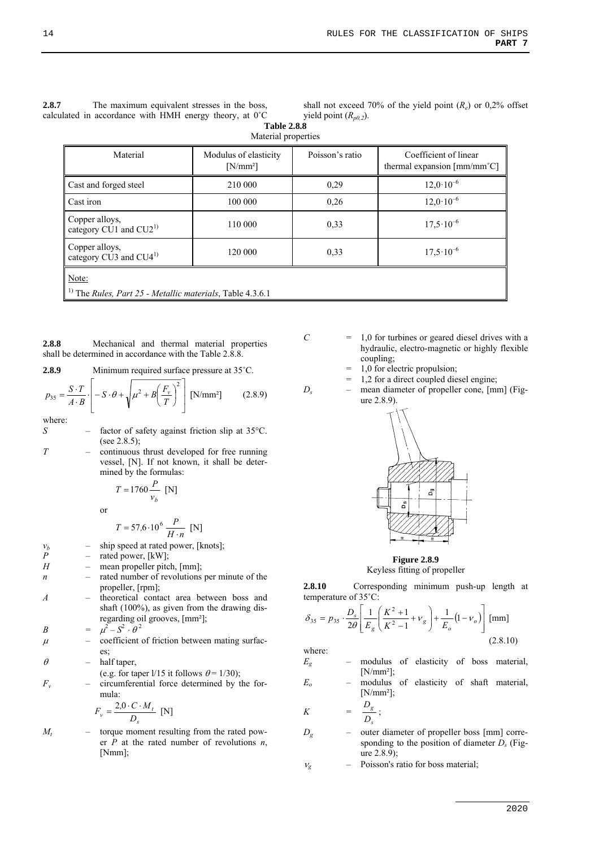| 2.8.7 | The maximum equivalent stresses in the boss,                      |
|-------|-------------------------------------------------------------------|
|       | calculated in accordance with HMH energy theory, at $0^{\circ}$ C |

shall not exceed 70% of the yield point  $(R_e)$  or 0,2% offset yield point  $(R_{p0,2})$ .

| <b>Table 2.8.8</b>  |  |
|---------------------|--|
| Material properties |  |

| Material                                                                     | Modulus of elasticity<br>$[N/mm^2]$ | Poisson's ratio | Coefficient of linear<br>thermal expansion $\text{[mm/mm}^{\circ}\text{C}$ |  |  |
|------------------------------------------------------------------------------|-------------------------------------|-----------------|----------------------------------------------------------------------------|--|--|
| Cast and forged steel                                                        | 210 000                             | 0,29            | $12.0 \cdot 10^{-6}$                                                       |  |  |
| Cast iron                                                                    | 100 000                             | 0.26            | $12.0 \cdot 10^{-6}$                                                       |  |  |
| Copper alloys,<br>category CU1 and $CU21$                                    | 110 000                             | 0,33            | $17,5 \cdot 10^{-6}$                                                       |  |  |
| Copper alloys,<br>category CU3 and $CU41$                                    | 120 000                             | 0.33            | $17,5 \cdot 10^{-6}$                                                       |  |  |
| Note:                                                                        |                                     |                 |                                                                            |  |  |
| <sup>1)</sup> The <i>Rules, Part 25 - Metallic materials</i> , Table 4.3.6.1 |                                     |                 |                                                                            |  |  |

**2.8.8** Mechanical and thermal material properties shall be determined in accordance with the Table 2.8.8.

**2.8.9** Minimum required surface pressure at 35˚C.

$$
p_{35} = \frac{S \cdot T}{A \cdot B} \cdot \left[ -S \cdot \theta + \sqrt{\mu^2 + B \left( \frac{F_v}{T} \right)^2} \right] \text{ [N/mm²]} \tag{2.8.9}
$$

where:<br> $S$ 

factor of safety against friction slip at 35°C. (see  $2.8.5$ );

*T* – continuous thrust developed for free running vessel, [N]. If not known, it shall be determined by the formulas:

$$
T = 1760 \frac{P}{v_b} \text{ [N]}
$$

or

$$
T = 57.6 \cdot 10^6 \frac{P}{H \cdot n} \text{ [N]}
$$

$$
v_b
$$
 – ship speed at rated power, [knots];

- $v_b$  ship speed at rated p<br>  $P$  rated power, [kW];<br>  $H$  mean propeller pitcl
	- mean propeller pitch, [mm];
- *n* rated number of revolutions per minute of the propeller, [rpm];
- *A* theoretical contact area between boss and shaft (100%), as given from the drawing disregarding oil grooves, [mm²];

$$
B = \mu^2 - S^2 \cdot \theta^2
$$

- $\mu$  coefficient of friction between mating surfaces;
- $\theta$  half taper,
	- (e.g. for taper  $1/15$  it follows  $\theta = 1/30$ );
- *Fv* circumferential force determined by the formula:

$$
F_v = \frac{2.0 \cdot C \cdot M_t}{D_s} \text{ [N]}
$$

 $M_t$  – torque moment resulting from the rated power *P* at the rated number of revolutions *n*, [Nmm];

- $C = 1,0$  for turbines or geared diesel drives with a hydraulic, electro-magnetic or highly flexible coupling;
	- = 1,0 for electric propulsion;
	- 1,2 for a direct coupled diesel engine;
- *Ds* mean diameter of propeller cone, [mm] (Figure 2.8.9).



**Figure 2.8.9**  Keyless fitting of propeller

**2.8.10** Corresponding minimum push-up length at temperature of 35˚C:

$$
\delta_{35} = p_{35} \cdot \frac{D_s}{2\theta} \left[ \frac{1}{E_g} \left( \frac{K^2 + 1}{K^2 - 1} + v_g \right) + \frac{1}{E_o} (1 - v_o) \right] \text{ [mm]}
$$
\n(2.8.10)

where:

*K* =

- *Eg* modulus of elasticity of boss material, [N/mm²];
- *Eo* modulus of elasticity of shaft material,  $[N/mm^2]$ ;

$$
= \frac{D_g}{D_s};
$$

- *Dg* outer diameter of propeller boss [mm] corresponding to the position of diameter *Ds* (Figure  $2.8.9$ ;
- $v_g$  Poisson's ratio for boss material;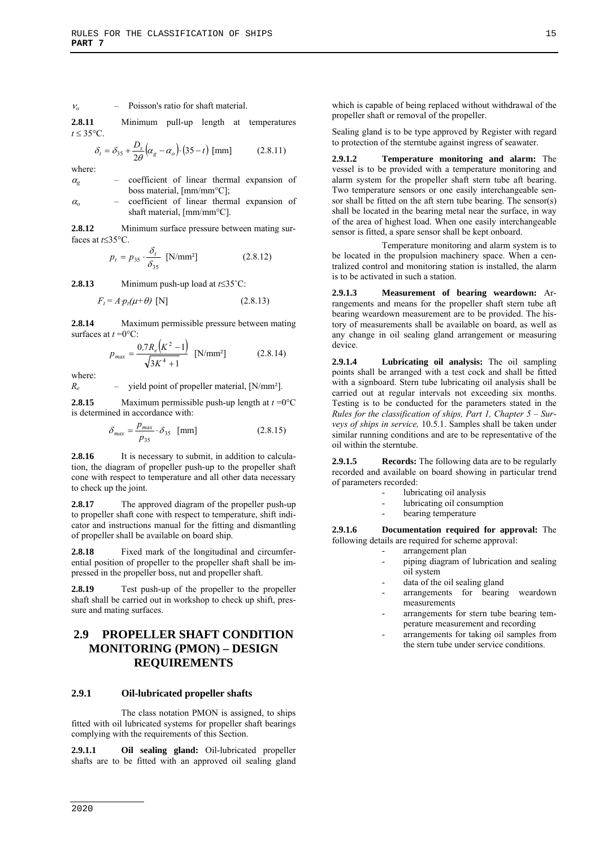#### $v_0$  – Poisson's ratio for shaft material.

**2.8.11** Minimum pull-up length at temperatures  $t \leq 35^{\circ}$ C.

$$
\delta_t = \delta_{35} + \frac{D_s}{2\theta} \left( \alpha_g - \alpha_o \right) \cdot (35 - t) \text{ [mm]}
$$
 (2.8.11)

where:

- $\alpha_{g}$  coefficient of linear thermal expansion of boss material, [mm/mm°C];
- $\alpha$  coefficient of linear thermal expansion of shaft material, [mm/mm°C].

**2.8.12** Minimum surface pressure between mating surfaces at  $t \leq 35^{\circ}C$ .

$$
p_t = p_{35} \cdot \frac{\delta_t}{\delta_{35}} \quad \text{[N/mm²]} \tag{2.8.12}
$$

**2.8.13** Minimum push-up load at  $t \leq 35^{\circ}$ C:

$$
F_t = A p_t(\mu + \theta) \text{ [N]} \tag{2.8.13}
$$

**2.8.14** Maximum permissible pressure between mating surfaces at  $t = 0$ °C:

$$
p_{max} = \frac{0.7R_e\left(K^2 - 1\right)}{\sqrt{3K^4 + 1}} \quad \text{[N/mm$^2$]} \tag{2.8.14}
$$

where:

*R<sub>e</sub>* – yield point of propeller material, [N/mm<sup>2</sup>].

**2.8.15** Maximum permissible push-up length at  $t = 0$ °C is determined in accordance with:

$$
\delta_{max} = \frac{p_{max}}{p_{35}} \cdot \delta_{35} \quad \text{[mm]} \tag{2.8.15}
$$

**2.8.16** It is necessary to submit, in addition to calculation, the diagram of propeller push-up to the propeller shaft cone with respect to temperature and all other data necessary to check up the joint.

**2.8.17** The approved diagram of the propeller push-up to propeller shaft cone with respect to temperature, shift indicator and instructions manual for the fitting and dismantling of propeller shall be available on board ship.

**2.8.18** Fixed mark of the longitudinal and circumferential position of propeller to the propeller shaft shall be impressed in the propeller boss, nut and propeller shaft.

**2.8.19** Test push-up of the propeller to the propeller shaft shall be carried out in workshop to check up shift, pressure and mating surfaces.

# **2.9 PROPELLER SHAFT CONDITION MONITORING (PMON) – DESIGN REQUIREMENTS**

#### **2.9.1 Oil-lubricated propeller shafts**

The class notation PMON is assigned, to ships fitted with oil lubricated systems for propeller shaft bearings complying with the requirements of this Section.

**2.9.1.1 Oil sealing gland:** Oil-lubricated propeller shafts are to be fitted with an approved oil sealing gland which is capable of being replaced without withdrawal of the propeller shaft or removal of the propeller.

Sealing gland is to be type approved by Register with regard to protection of the sterntube against ingress of seawater.

**2.9.1.2 Temperature monitoring and alarm:** The vessel is to be provided with a temperature monitoring and alarm system for the propeller shaft stern tube aft bearing. Two temperature sensors or one easily interchangeable sensor shall be fitted on the aft stern tube bearing. The sensor(s) shall be located in the bearing metal near the surface, in way of the area of highest load. When one easily interchangeable sensor is fitted, a spare sensor shall be kept onboard.

Temperature monitoring and alarm system is to be located in the propulsion machinery space. When a centralized control and monitoring station is installed, the alarm is to be activated in such a station.

**2.9.1.3 Measurement of bearing weardown:** Arrangements and means for the propeller shaft stern tube aft bearing weardown measurement are to be provided. The history of measurements shall be available on board, as well as any change in oil sealing gland arrangement or measuring device.

**2.9.1.4 Lubricating oil analysis:** The oil sampling points shall be arranged with a test cock and shall be fitted with a signboard. Stern tube lubricating oil analysis shall be carried out at regular intervals not exceeding six months. Testing is to be conducted for the parameters stated in the *Rules for the classification of ships, Part 1, Chapter 5 – Surveys of ships in service,* 10.5.1. Samples shall be taken under similar running conditions and are to be representative of the oil within the sterntube.

**2.9.1.5 Records:** The following data are to be regularly recorded and available on board showing in particular trend of parameters recorded:

- lubricating oil analysis
- lubricating oil consumption
- bearing temperature

**2.9.1.6 Documentation required for approval:** The following details are required for scheme approval:

- arrangement plan
	- piping diagram of lubrication and sealing oil system
	- data of the oil sealing gland
	- arrangements for bearing weardown measurements
	- arrangements for stern tube bearing temperature measurement and recording
	- arrangements for taking oil samples from the stern tube under service conditions.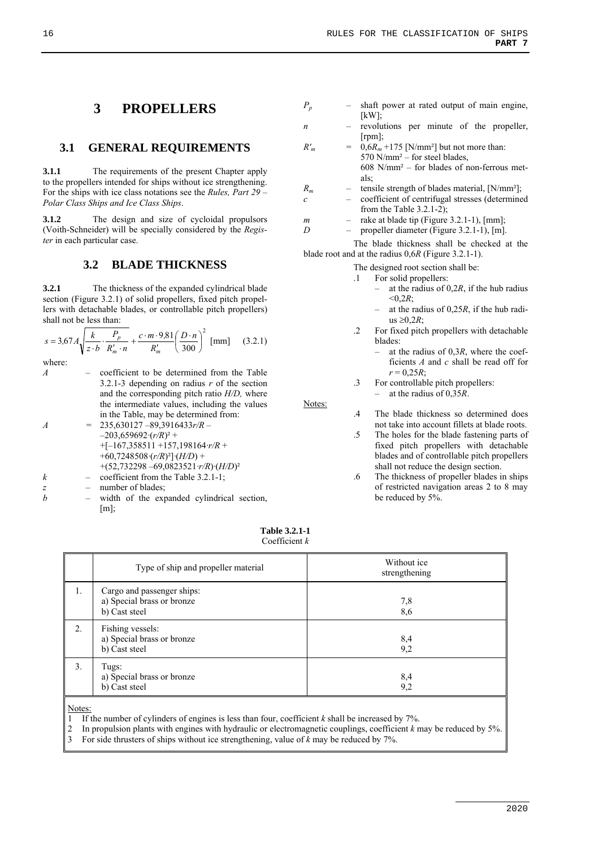## **3.1 GENERAL REQUIREMENTS**

**3.1.1** The requirements of the present Chapter apply to the propellers intended for ships without ice strengthening. For the ships with ice class notations see the *Rules, Part 29 – Polar Class Ships and Ice Class Ships*.

**3.1.2** The design and size of cycloidal propulsors (Voith-Schneider) will be specially considered by the *Register* in each particular case.

#### **3.2 BLADE THICKNESS**

**3.2.1** The thickness of the expanded cylindrical blade section (Figure 3.2.1) of solid propellers, fixed pitch propellers with detachable blades, or controllable pitch propellers) shall not be less than:

$$
s = 3.67 A \sqrt{\frac{k}{z \cdot b} \cdot \frac{P_p}{R'_m \cdot n} + \frac{c \cdot m \cdot 9.81}{R'_m} \left(\frac{D \cdot n}{300}\right)^2 \text{ [mm]}} \quad (3.2.1)
$$

where:

*A* – coefficient to be determined from the Table 3.2.1-3 depending on radius *r* of the section and the corresponding pitch ratio *H/D,* where the intermediate values, including the values in the Table, may be determined from: *A =* 235,630127 –89,3916433*r/R* –  $-203,659692 \cdot (r/R)^2$  +

$$
+[167,358511+157,198164-r/R+\n+60,7248508(r/R)^2](H/D)+\n+(52,732298-69,0823521-r/R)(H/D)^2\nk-\ncoefficient from the Table 3.2.1-1;
$$

*z* – number of blades;

*b* – width of the expanded cylindrical section,  $[m]$ ;

- *Pp* shaft power at rated output of main engine,  $[kW]$ ;
- *n* revolutions per minute of the propeller, [rpm];
- $R'_m$  =  $0.6R_m + 175$  [N/mm<sup>2</sup>] but not more than:  $570$  N/mm<sup>2</sup> – for steel blades,  $608$  N/mm<sup>2</sup> – for blades of non-ferrous metals;
- $R_m$  tensile strength of blades material, [N/mm<sup>2</sup>];
- *c*  coefficient of centrifugal stresses (determined from the Table  $3.2.1-2$ ):
- $m$  rake at blade tip (Figure 3.2.1-1), [mm];

*D* – propeller diameter (Figure 3.2.1-1), [m].

The blade thickness shall be checked at the blade root and at the radius 0,6*R* (Figure 3.2.1-1).

The designed root section shall be:

- .1 For solid propellers:
	- at the radius of 0,2*R*, if the hub radius  $< 0.2R$ ;
	- at the radius of 0,25*R*, if the hub radius  $\geq 0.2R$ ;
- .2 For fixed pitch propellers with detachable blades:
	- at the radius of 0,3*R*, where the coefficients *A* and *c* shall be read off for  $r = 0.25R$
- .3 For controllable pitch propellers:
	- at the radius of 0,35*R*.
- .4 The blade thickness so determined does not take into account fillets at blade roots.
	- .5 The holes for the blade fastening parts of fixed pitch propellers with detachable blades and of controllable pitch propellers shall not reduce the design section.
	- .6 The thickness of propeller blades in ships of restricted navigation areas 2 to 8 may be reduced by 5%.

**Table 3.2.1-1**  Coefficient *k*

Notes:

|                  | Type of ship and propeller material                                       | Without ice<br>strengthening |
|------------------|---------------------------------------------------------------------------|------------------------------|
| 1.               | Cargo and passenger ships:<br>a) Special brass or bronze<br>b) Cast steel | 7,8<br>8,6                   |
| $\overline{2}$ . | Fishing vessels:<br>a) Special brass or bronze<br>b) Cast steel           | 8,4<br>9,2                   |
| 3.               | Tugs:<br>a) Special brass or bronze<br>b) Cast steel                      | 8,4<br>9,2                   |

Notes:

1 If the number of cylinders of engines is less than four, coefficient *k* shall be increased by 7%.

2 In propulsion plants with engines with hydraulic or electromagnetic couplings, coefficient *k* may be reduced by 5%. 3 For side thrusters of ships without ice strengthening, value of *k* may be reduced by 7%.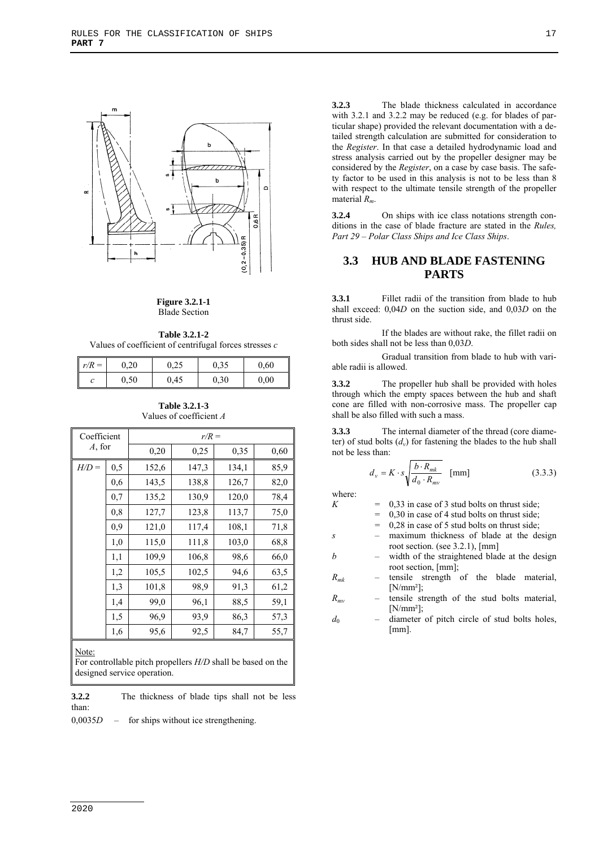

#### **Figure 3.2.1-1**  Blade Section

**Table 3.2.1-2**  Values of coefficient of centrifugal forces stresses *c*

| $r/R =$ | 0.20 | 0.25 | 0,35 | 0.60 |
|---------|------|------|------|------|
| C       | 0,50 | 0,45 | 0,30 | 0,00 |

**Table 3.2.1-3**  Values of coefficient *A*

| Coefficient<br>A, for |     |       | $r/R =$ |       |      |
|-----------------------|-----|-------|---------|-------|------|
|                       |     | 0,20  | 0,25    | 0,35  | 0,60 |
| $H/D =$               | 0,5 | 152,6 | 147,3   | 134,1 | 85,9 |
|                       | 0.6 | 143.5 | 138,8   | 126,7 | 82,0 |
|                       | 0,7 | 135,2 | 130,9   | 120,0 | 78,4 |
|                       | 0.8 | 127,7 | 123,8   | 113,7 | 75,0 |
|                       | 0.9 | 121,0 | 117,4   | 108,1 | 71,8 |
|                       | 1,0 | 115,0 | 111,8   | 103,0 | 68,8 |
|                       | 1,1 | 109.9 | 106,8   | 98,6  | 66,0 |
|                       | 1,2 | 105,5 | 102,5   | 94,6  | 63,5 |
|                       | 1,3 | 101,8 | 98.9    | 91,3  | 61,2 |
|                       | 1,4 | 99,0  | 96,1    | 88.5  | 59,1 |
|                       | 1,5 | 96.9  | 93,9    | 86,3  | 57,3 |
|                       | 1,6 | 95,6  | 92,5    | 84,7  | 55,7 |
| Note:                 |     |       |         |       |      |

For controllable pitch propellers *H/D* shall be based on the designed service operation.

**3.2.2** The thickness of blade tips shall not be less than:

0,0035*D* – for ships without ice strengthening.

**3.2.3** The blade thickness calculated in accordance with 3.2.1 and 3.2.2 may be reduced (e.g. for blades of particular shape) provided the relevant documentation with a detailed strength calculation are submitted for consideration to the *Register*. In that case a detailed hydrodynamic load and stress analysis carried out by the propeller designer may be considered by the *Register*, on a case by case basis. The safety factor to be used in this analysis is not to be less than 8 with respect to the ultimate tensile strength of the propeller material *Rm*.

**3.2.4** On ships with ice class notations strength conditions in the case of blade fracture are stated in the *Rules, Part 29 – Polar Class Ships and Ice Class Ships*.

# **3.3 HUB AND BLADE FASTENING PARTS**

**3.3.1** Fillet radii of the transition from blade to hub shall exceed: 0,04*D* on the suction side, and 0,03*D* on the thrust side.

If the blades are without rake, the fillet radii on both sides shall not be less than 0,03*D*.

Gradual transition from blade to hub with variable radii is allowed.

**3.3.2** The propeller hub shall be provided with holes through which the empty spaces between the hub and shaft cone are filled with non-corrosive mass. The propeller cap shall be also filled with such a mass.

**3.3.3** The internal diameter of the thread (core diameter) of stud bolts  $(d_v)$  for fastening the blades to the hub shall not be less than:

$$
d_{v} = K \cdot s \sqrt{\frac{b \cdot R_{mk}}{d_0 \cdot R_{mv}}} \quad \text{[mm]}
$$
 (3.3.3)

where:

- $K = 0.33$  in case of 3 stud bolts on thrust side;
	- $0.30$  in case of 4 stud bolts on thrust side;
	- = 0,28 in case of 5 stud bolts on thrust side;
- *s* maximum thickness of blade at the design root section. (see 3.2.1), [mm]
- *b* width of the straightened blade at the design root section, [mm];
- *Rmk* tensile strength of the blade material,  $[N/mm^2]$ ;
- $R_{mv}$  tensile strength of the stud bolts material,  $[N/mm^2]$ ;
- *d*<sub>0</sub> diameter of pitch circle of stud bolts holes, [mm].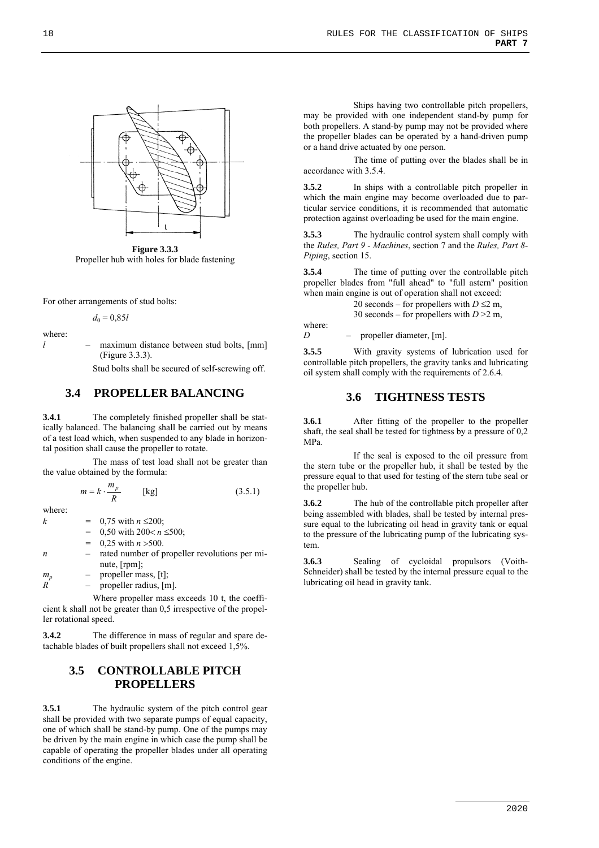

**Figure 3.3.3** Propeller hub with holes for blade fastening

For other arrangements of stud bolts:

 $d_0 = 0.85l$ 

where:

*l* – maximum distance between stud bolts, [mm] (Figure 3.3.3).

Stud bolts shall be secured of self-screwing off.

## **3.4 PROPELLER BALANCING**

**3.4.1** The completely finished propeller shall be statically balanced. The balancing shall be carried out by means of a test load which, when suspended to any blade in horizontal position shall cause the propeller to rotate.

The mass of test load shall not be greater than the value obtained by the formula:

$$
m = k \cdot \frac{m_p}{R} \qquad \text{[kg]} \tag{3.5.1}
$$

where:

- *k* =  $0,75$  with  $n \le 200$ ; 0,50 with  $200 < n \le 500$ ;  $0.25$  with  $n > 500$ .
- *n* rated number of propeller revolutions per minute, [rpm];

 $m_p$  – propeller mass, [t];

 $R^{\sim}$  – propeller radius, [m].

Where propeller mass exceeds 10 t, the coefficient k shall not be greater than 0,5 irrespective of the propeller rotational speed.

**3.4.2** The difference in mass of regular and spare detachable blades of built propellers shall not exceed 1,5%.

# **3.5 CONTROLLABLE PITCH PROPELLERS**

**3.5.1** The hydraulic system of the pitch control gear shall be provided with two separate pumps of equal capacity, one of which shall be stand-by pump. One of the pumps may be driven by the main engine in which case the pump shall be capable of operating the propeller blades under all operating conditions of the engine.

Ships having two controllable pitch propellers, may be provided with one independent stand-by pump for both propellers. A stand-by pump may not be provided where the propeller blades can be operated by a hand-driven pump or a hand drive actuated by one person.

The time of putting over the blades shall be in accordance with 3.5.4.

**3.5.2** In ships with a controllable pitch propeller in which the main engine may become overloaded due to particular service conditions, it is recommended that automatic protection against overloading be used for the main engine.

**3.5.3** The hydraulic control system shall comply with the *Rules, Part 9 - Machines*, section 7 and the *Rules, Part 8- Piping*, section 15.

**3.5.4** The time of putting over the controllable pitch propeller blades from "full ahead" to "full astern" position when main engine is out of operation shall not exceed:

20 seconds – for propellers with  $D \le 2$  m,

30 seconds – for propellers with *D* >2 m,

where:

*D* – propeller diameter, [m].

**3.5.5** With gravity systems of lubrication used for controllable pitch propellers, the gravity tanks and lubricating oil system shall comply with the requirements of 2.6.4.

## **3.6 TIGHTNESS TESTS**

**3.6.1** After fitting of the propeller to the propeller shaft, the seal shall be tested for tightness by a pressure of 0,2 MPa.

If the seal is exposed to the oil pressure from the stern tube or the propeller hub, it shall be tested by the pressure equal to that used for testing of the stern tube seal or the propeller hub.

**3.6.2** The hub of the controllable pitch propeller after being assembled with blades, shall be tested by internal pressure equal to the lubricating oil head in gravity tank or equal to the pressure of the lubricating pump of the lubricating system.

**3.6.3** Sealing of cycloidal propulsors (Voith-Schneider) shall be tested by the internal pressure equal to the lubricating oil head in gravity tank.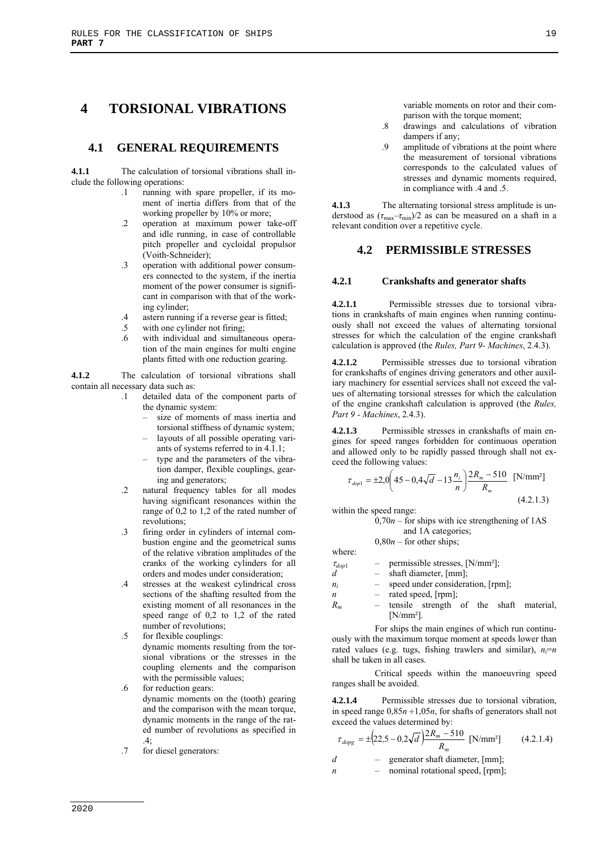# **4 TORSIONAL VIBRATIONS**

# **4.1 GENERAL REQUIREMENTS**

**4.1.1** The calculation of torsional vibrations shall include the following operations:

- .1 running with spare propeller, if its moment of inertia differs from that of the working propeller by 10% or more;
- .2 operation at maximum power take-off and idle running, in case of controllable pitch propeller and cycloidal propulsor (Voith-Schneider);
- .3 operation with additional power consumers connected to the system, if the inertia moment of the power consumer is significant in comparison with that of the working cylinder;
- .4 astern running if a reverse gear is fitted;
- .5 with one cylinder not firing;
- .6 with individual and simultaneous operation of the main engines for multi engine plants fitted with one reduction gearing.

**4.1.2** The calculation of torsional vibrations shall contain all necessary data such as:

- .1 detailed data of the component parts of the dynamic system:
	- size of moments of mass inertia and torsional stiffness of dynamic system;
	- layouts of all possible operating variants of systems referred to in 4.1.1;
	- type and the parameters of the vibration damper, flexible couplings, gearing and generators;
- .2 natural frequency tables for all modes having significant resonances within the range of 0,2 to 1,2 of the rated number of revolutions;
- .3 firing order in cylinders of internal combustion engine and the geometrical sums of the relative vibration amplitudes of the cranks of the working cylinders for all orders and modes under consideration;
- .4 stresses at the weakest cylindrical cross sections of the shafting resulted from the existing moment of all resonances in the speed range of 0,2 to 1,2 of the rated number of revolutions;
- .5 for flexible couplings:
	- dynamic moments resulting from the torsional vibrations or the stresses in the coupling elements and the comparison with the permissible values;
- .6 for reduction gears: dynamic moments on the (tooth) gearing and the comparison with the mean torque, dynamic moments in the range of the rated number of revolutions as specified in .4;
- .7 for diesel generators:

variable moments on rotor and their comparison with the torque moment;

- .8 drawings and calculations of vibration dampers if any;
- .9 amplitude of vibrations at the point where the measurement of torsional vibrations corresponds to the calculated values of stresses and dynamic moments required, in compliance with .4 and .5.

**4.1.3** The alternating torsional stress amplitude is understood as  $(\tau_{\text{max}} - \tau_{\text{min}})/2$  as can be measured on a shaft in a relevant condition over a repetitive cycle.

## **4.2 PERMISSIBLE STRESSES**

#### **4.2.1 Crankshafts and generator shafts**

**4.2.1.1** Permissible stresses due to torsional vibrations in crankshafts of main engines when running continuously shall not exceed the values of alternating torsional stresses for which the calculation of the engine crankshaft calculation is approved (the *Rules, Part 9- Machines*, 2.4.3).

**4.2.1.2** Permissible stresses due to torsional vibration for crankshafts of engines driving generators and other auxiliary machinery for essential services shall not exceed the values of alternating torsional stresses for which the calculation of the engine crankshaft calculation is approved (the *Rules, Part 9 - Machines*, 2.4.3).

**4.2.1.3** Permissible stresses in crankshafts of main engines for speed ranges forbidden for continuous operation and allowed only to be rapidly passed through shall not exceed the following values:

$$
\tau_{\text{dop1}} = \pm 2.0 \left( 45 - 0.4\sqrt{d} - 13 \frac{n_i}{n} \right) \frac{2R_m - 510}{R_m} \quad \text{[N/mm$^2$]} \tag{4.2.1.3}
$$

within the speed range:

 0,70*n –* for ships with ice strengthening of 1AS and 1A categories;

0,80*n –* for other ships;

where:

- $\tau_{dop1}$  permissible stresses, [N/mm<sup>2</sup>];
- $d \rightarrow$  shaft diameter, [mm]; *n<sub>i</sub>* – speed under consideration, [rpm];
- *n* rated speed, [rpm];
- *Rm* tensile strength of the shaft material, [N/mm²].

For ships the main engines of which run continuously with the maximum torque moment at speeds lower than rated values (e.g. tugs, fishing trawlers and similar),  $n_i=n$ shall be taken in all cases.

Critical speeds within the manoeuvring speed ranges shall be avoided.

**4.2.1.4** Permissible stresses due to torsional vibration, in speed range  $0,85n \div 1,05n$ , for shafts of generators shall not exceed the values determined by:

$$
\tau_{\text{dops}} = \pm \left( 22.5 - 0.2\sqrt{d} \right) \frac{2R_m - 510}{R_m} \text{ [N/mm²]} \tag{4.2.1.4}
$$

*d* – generator shaft diameter, [mm];

 $n$  – nominal rotational speed, [rpm];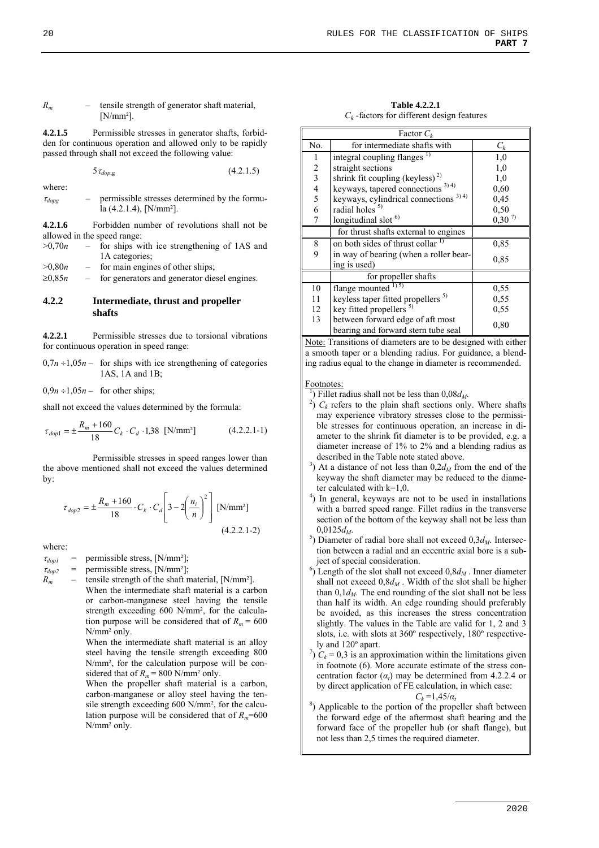#### *Rm* – tensile strength of generator shaft material,  $IN/mm<sup>2</sup>$

**4.2.1.5** Permissible stresses in generator shafts, forbidden for continuous operation and allowed only to be rapidly passed through shall not exceed the following value:

 $5\tau_{don,g}$  (4.2.1.5)

where:  
\n
$$
\tau_{dops} \qquad - \qquad \text{permissible stresses determined by the form} \qquad \text{a (4.2.1.4), } [N/mm^2].
$$

**4.2.1.6** Forbidden number of revolutions shall not be allowed in the speed range:

| >0.70n | for ships with ice strengthening of 1AS and |
|--------|---------------------------------------------|
|        | 1A categories;                              |

 $>0,80n$  – for main engines of other ships;

 $\geq 0.85n$  – for generators and generator diesel engines.

#### **4.2.2 Intermediate, thrust and propeller shafts**

**4.2.2.1** Permissible stresses due to torsional vibrations for continuous operation in speed range:

 $0,7n+1,05n$  – for ships with ice strengthening of categories 1AS, 1A and 1B;

 $0,9n + 1,05n -$  for other ships;

shall not exceed the values determined by the formula:

$$
\tau_{dop1} = \pm \frac{R_m + 160}{18} C_k \cdot C_d \cdot 1,38 \text{ [N/mm²]} \tag{4.2.2.1-1}
$$

Permissible stresses in speed ranges lower than the above mentioned shall not exceed the values determined by:

$$
\tau_{dop2} = \pm \frac{R_m + 160}{18} \cdot C_k \cdot C_d \left[ 3 - 2 \left( \frac{n_i}{n} \right)^2 \right] \text{ [N/mm²]}
$$
\n(4.2.2.1-2)

where:

 $\tau_{dop1}$  = permissible stress, [N/mm<sup>2</sup>];

 $\tau_{dop2}$  = permissible stress, [N/mm<sup>2</sup>];

 $R_m$  – tensile strength of the shaft material, [N/mm<sup>2</sup>]. When the intermediate shaft material is a carbon or carbon-manganese steel having the tensile strength exceeding 600 N/mm², for the calculation purpose will be considered that of  $R_m = 600$ N/mm² only.

When the intermediate shaft material is an alloy steel having the tensile strength exceeding 800 N/mm², for the calculation purpose will be considered that of  $R_m$  = 800 N/mm<sup>2</sup> only.

When the propeller shaft material is a carbon, carbon-manganese or alloy steel having the tensile strength exceeding 600 N/mm², for the calculation purpose will be considered that of  $R_m$ =600 N/mm² only.

**Table 4.2.2.1**   $C_k$ -factors for different design features

| Factor $C_k$   |                                                  |            |  |  |
|----------------|--------------------------------------------------|------------|--|--|
| No.            | for intermediate shafts with                     | $C_k$      |  |  |
| 1              | integral coupling flanges <sup>1)</sup>          | 1,0        |  |  |
| $\sqrt{2}$     | straight sections                                | 1,0        |  |  |
| $\overline{3}$ | shrink fit coupling (keyless) <sup>2)</sup>      | 1,0        |  |  |
| $\overline{4}$ | keyways, tapered connections <sup>3)4)</sup>     | 0,60       |  |  |
| 5              | keyways, cylindrical connections <sup>3)4)</sup> | 0,45       |  |  |
| 6              | radial holes <sup>5)</sup>                       | 0,50       |  |  |
| 7              | longitudinal slot <sup>6)</sup>                  | $0,30^{7}$ |  |  |
|                | for thrust shafts external to engines            |            |  |  |
| 8              | on both sides of thrust collar <sup>1)</sup>     | 0,85       |  |  |
| 9              | in way of bearing (when a roller bear-           | 0.85       |  |  |
|                | ing is used)                                     |            |  |  |
|                | for propeller shafts                             |            |  |  |
| 10             | flange mounted $^{1)5}$                          | 0,55       |  |  |
| 11             | keyless taper fitted propellers <sup>5)</sup>    | 0,55       |  |  |
| 12             | key fitted propellers <sup>5)</sup>              | 0,55       |  |  |
| 13             | between forward edge of aft most                 | 0.80       |  |  |
|                | bearing and forward stern tube seal              |            |  |  |

Note: Transitions of diameters are to be designed with either a smooth taper or a blending radius. For guidance, a blending radius equal to the change in diameter is recommended.

#### Footnotes:

<sup>1</sup>) Fillet radius shall not be less than  $0.08d_M$ .

- $^{2'}$ )  $C_k$  refers to the plain shaft sections only. Where shafts may experience vibratory stresses close to the permissible stresses for continuous operation, an increase in diameter to the shrink fit diameter is to be provided, e.g. a diameter increase of 1% to 2% and a blending radius as described in the Table note stated above.
- <sup>3</sup>) At a distance of not less than  $0,2d_M$  from the end of the keyway the shaft diameter may be reduced to the diameter calculated with  $k=1,0$ .
- ) In general, keyways are not to be used in installations with a barred speed range. Fillet radius in the transverse section of the bottom of the keyway shall not be less than
- $0,0125d_M$ .<br><sup>5</sup>) Diameter of radial bore shall not exceed  $0,3d_M$ . Intersection between a radial and an eccentric axial bore is a subject of special consideration.
- $^{6}$ ) Length of the slot shall not exceed  $0, 8d<sub>M</sub>$ . Inner diameter shall not exceed  $0,8d<sub>M</sub>$ . Width of the slot shall be higher than  $0,1d<sub>M</sub>$ . The end rounding of the slot shall not be less than half its width. An edge rounding should preferably be avoided, as this increases the stress concentration slightly. The values in the Table are valid for 1, 2 and 3 slots, i.e. with slots at 360º respectively, 180º respectively and 120° apart.
- $\int$ <sup>7</sup>)  $C_k$  = 0,3 is an approximation within the limitations given in footnote (6). More accurate estimate of the stress concentration factor  $(a_t)$  may be determined from 4.2.2.4 or by direct application of FE calculation, in which case:

 $C_k = 1,45/a_t$ <br><sup>8</sup>) Applicable to the portion of the propeller shaft between the forward edge of the aftermost shaft bearing and the forward face of the propeller hub (or shaft flange), but not less than 2,5 times the required diameter.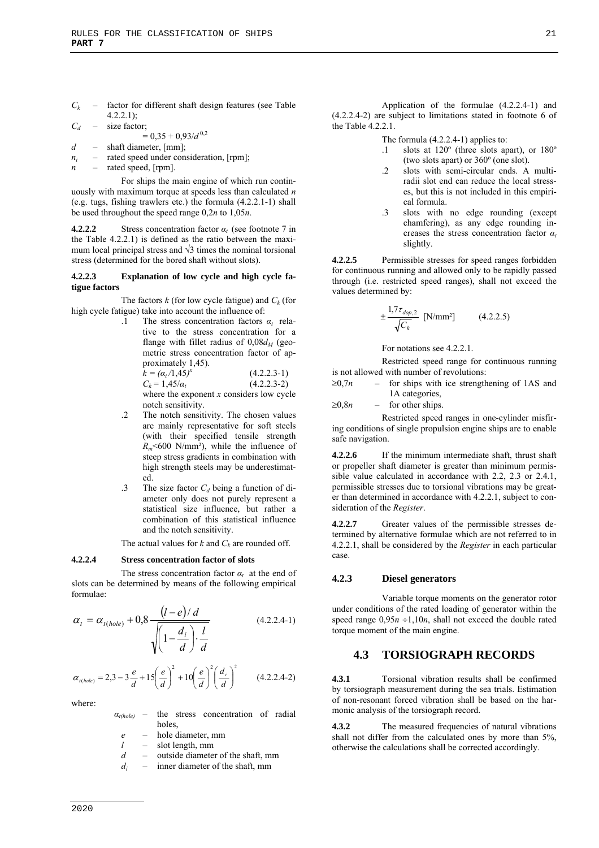$C_k$  – factor for different shaft design features (see Table 4.2.2.1);

*Cd* – size factor;

- $= 0.35 + 0.93/d^{0.2}$ *d* – shaft diameter, [mm];
- *ni* rated speed under consideration, [rpm];
- *n* rated speed, [rpm].

For ships the main engine of which run continuously with maximum torque at speeds less than calculated *n* (e.g. tugs, fishing trawlers etc.) the formula (4.2.2.1-1) shall be used throughout the speed range 0,2*n* to 1,05*n*.

**4.2.2.2** Stress concentration factor *αt* (see footnote 7 in the Table 4.2.2.1) is defined as the ratio between the maximum local principal stress and  $\sqrt{3}$  times the nominal torsional stress (determined for the bored shaft without slots).

#### **4.2.2.3 Explanation of low cycle and high cycle fatigue factors**

The factors  $k$  (for low cycle fatigue) and  $C_k$  (for high cycle fatigue) take into account the influence of:

.1 The stress concentration factors *αt* relative to the stress concentration for a flange with fillet radius of  $0.08d<sub>M</sub>$  (geometric stress concentration factor of approximately 1,45).

 $\hat{k} = (\alpha_t/1, 45)^x$  $(4.2.2.3-1)$  $C_k = 1.45/a_t$  (4.2.2.3-2) where the exponent *x* considers low cycle notch sensitivity.

- .2 The notch sensitivity. The chosen values are mainly representative for soft steels (with their specified tensile strength  $R_m$ <600 N/mm<sup>2</sup>), while the influence of steep stress gradients in combination with high strength steels may be underestimated.
- .3 The size factor  $C_d$  being a function of diameter only does not purely represent a statistical size influence, but rather a combination of this statistical influence and the notch sensitivity.

The actual values for  $k$  and  $C_k$  are rounded off.

#### **4.2.2.4 Stress concentration factor of slots**

The stress concentration factor  $\alpha_t$  at the end of slots can be determined by means of the following empirical formulae:

$$
\alpha_{t} = \alpha_{t(hole)} + 0.8 \frac{\left(l - e\right)/d}{\sqrt{\left(1 - \frac{d_i}{d}\right) \cdot \frac{l}{d}}}
$$
(4.2.2.4-1)

$$
\alpha_{t(hole)} = 2,3 - 3\frac{e}{d} + 15\left(\frac{e}{d}\right)^2 + 10\left(\frac{e}{d}\right)^2 \left(\frac{d_i}{d}\right)^2 \qquad (4.2.2.4-2)
$$

where:

- *αt(hole)*  the stress concentration of radial holes,
	- *e*  hole diameter, mm
	- *l*  slot length, mm
	- *d*  outside diameter of the shaft, mm
	- *di*  inner diameter of the shaft, mm

Application of the formulae (4.2.2.4-1) and (4.2.2.4-2) are subject to limitations stated in footnote 6 of the Table 4.2.2.1.

The formula (4.2.2.4-1) applies to:

- slots at 120<sup>°</sup> (three slots apart), or 180<sup>°</sup> (two slots apart) or 360º (one slot).
- .2 slots with semi-circular ends. A multiradii slot end can reduce the local stresses, but this is not included in this empirical formula.
- .3 slots with no edge rounding (except chamfering), as any edge rounding increases the stress concentration factor *α<sup>t</sup>* slightly.

**4.2.2.5** Permissible stresses for speed ranges forbidden for continuous running and allowed only to be rapidly passed through (i.e. restricted speed ranges), shall not exceed the values determined by:

$$
\pm \frac{1.7\tau_{dop,2}}{\sqrt{C_k}} \text{ [N/mm²]} \tag{4.2.2.5}
$$

For notations see 4.2.2.1.

Restricted speed range for continuous running is not allowed with number of revolutions:

- $\geq 0.7n$  for ships with ice strengthening of 1AS and 1A categories,
- $\geq 0.8n$  for other ships.

Restricted speed ranges in one-cylinder misfiring conditions of single propulsion engine ships are to enable safe navigation.

**4.2.2.6** If the minimum intermediate shaft, thrust shaft or propeller shaft diameter is greater than minimum permissible value calculated in accordance with 2.2, 2.3 or 2.4.1, permissible stresses due to torsional vibrations may be greater than determined in accordance with 4.2.2.1, subject to consideration of the *Register*.

**4.2.2.7** Greater values of the permissible stresses determined by alternative formulae which are not referred to in 4.2.2.1, shall be considered by the *Register* in each particular case.

#### **4.2.3 Diesel generators**

Variable torque moments on the generator rotor under conditions of the rated loading of generator within the speed range  $0.95n + 1,10n$ , shall not exceed the double rated torque moment of the main engine.

# **4.3 TORSIOGRAPH RECORDS**

**4.3.1** Torsional vibration results shall be confirmed by torsiograph measurement during the sea trials. Estimation of non-resonant forced vibration shall be based on the harmonic analysis of the torsiograph record.

**4.3.2** The measured frequencies of natural vibrations shall not differ from the calculated ones by more than 5%, otherwise the calculations shall be corrected accordingly.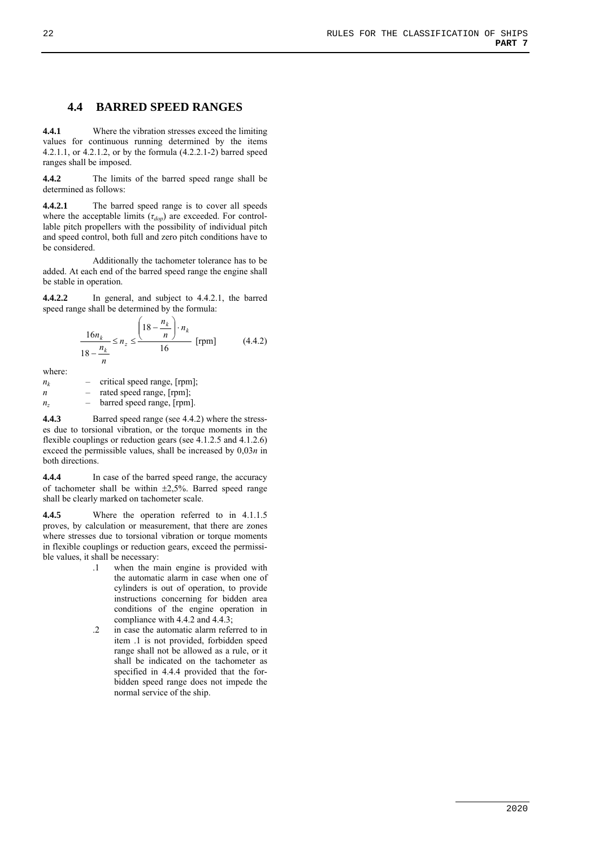# **4.4 BARRED SPEED RANGES**

**4.4.1** Where the vibration stresses exceed the limiting values for continuous running determined by the items 4.2.1.1, or 4.2.1.2, or by the formula (4.2.2.1-2) barred speed ranges shall be imposed.

**4.4.2** The limits of the barred speed range shall be determined as follows:

**4.4.2.1** The barred speed range is to cover all speeds where the acceptable limits (*τdop*) are exceeded. For controllable pitch propellers with the possibility of individual pitch and speed control, both full and zero pitch conditions have to be considered.

Additionally the tachometer tolerance has to be added. At each end of the barred speed range the engine shall be stable in operation.

**4.4.2.2** In general, and subject to 4.4.2.1, the barred speed range shall be determined by the formula:

$$
\frac{16n_k}{18 - \frac{n_k}{n}} \le n_z \le \frac{\left(18 - \frac{n_k}{n}\right) \cdot n_k}{16}
$$
 [rpm] (4.4.2)

where:

| $n_{k}$ |     | critical speed range, [rpm]; |
|---------|-----|------------------------------|
| n       |     | rated speed range, [rpm];    |
| $n_z$   | $-$ | barred speed range, [rpm].   |
|         |     |                              |

**4.4.3** Barred speed range (see 4.4.2) where the stresses due to torsional vibration, or the torque moments in the flexible couplings or reduction gears (see 4.1.2.5 and 4.1.2.6) exceed the permissible values, shall be increased by 0,03*n* in both directions.

**4.4.4** In case of the barred speed range, the accuracy of tachometer shall be within  $\pm 2.5\%$ . Barred speed range shall be clearly marked on tachometer scale.

**4.4.5** Where the operation referred to in 4.1.1.5 proves, by calculation or measurement, that there are zones where stresses due to torsional vibration or torque moments in flexible couplings or reduction gears, exceed the permissible values, it shall be necessary:

- .1 when the main engine is provided with the automatic alarm in case when one of cylinders is out of operation, to provide instructions concerning for bidden area conditions of the engine operation in compliance with 4.4.2 and 4.4.3;
- .2 in case the automatic alarm referred to in item .1 is not provided, forbidden speed range shall not be allowed as a rule, or it shall be indicated on the tachometer as specified in 4.4.4 provided that the forbidden speed range does not impede the normal service of the ship.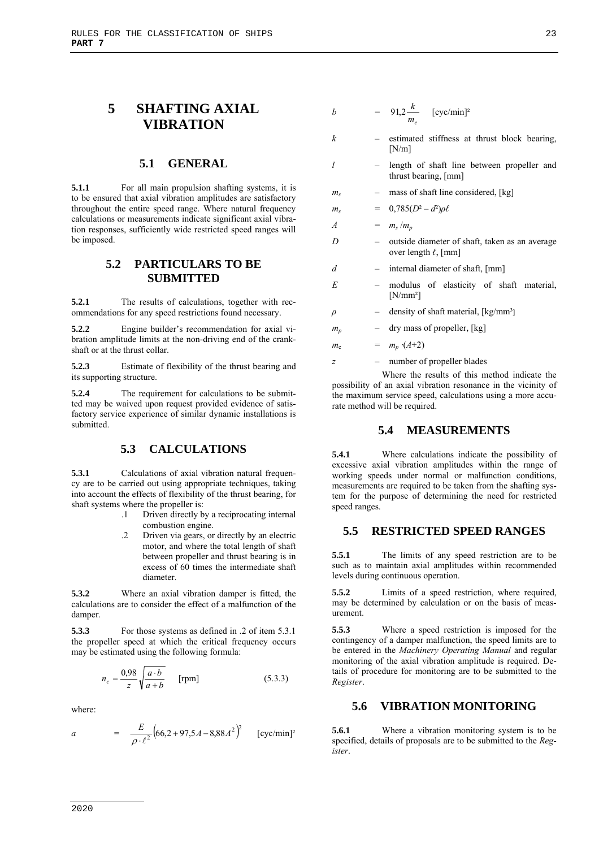# **5 SHAFTING AXIAL VIBRATION**

#### **5.1 GENERAL**

**5.1.1** For all main propulsion shafting systems, it is to be ensured that axial vibration amplitudes are satisfactory throughout the entire speed range. Where natural frequency calculations or measurements indicate significant axial vibration responses, sufficiently wide restricted speed ranges will be imposed.

# **5.2 PARTICULARS TO BE SUBMITTED**

**5.2.1** The results of calculations, together with recommendations for any speed restrictions found necessary.

**5.2.2** Engine builder's recommendation for axial vibration amplitude limits at the non-driving end of the crankshaft or at the thrust collar.

**5.2.3** Estimate of flexibility of the thrust bearing and its supporting structure.

**5.2.4** The requirement for calculations to be submitted may be waived upon request provided evidence of satisfactory service experience of similar dynamic installations is submitted.

# **5.3 CALCULATIONS**

**5.3.1** Calculations of axial vibration natural frequency are to be carried out using appropriate techniques, taking into account the effects of flexibility of the thrust bearing, for shaft systems where the propeller is:

- .1 Driven directly by a reciprocating internal combustion engine.
- .2 Driven via gears, or directly by an electric motor, and where the total length of shaft between propeller and thrust bearing is in excess of 60 times the intermediate shaft diameter.

**5.3.2** Where an axial vibration damper is fitted, the calculations are to consider the effect of a malfunction of the damper.

**5.3.3** For those systems as defined in .2 of item 5.3.1 the propeller speed at which the critical frequency occurs may be estimated using the following formula:

$$
n_c = \frac{0.98}{z} \sqrt{\frac{a \cdot b}{a + b}} \qquad \text{[rpm]}
$$
 (5.3.3)

where:

a = 
$$
\frac{E}{\rho \cdot \ell^2} \left(66.2 + 97.5A - 8.88A^2\right)^2
$$
 [cyc/min]<sup>2</sup>

$$
b = 91.2 \frac{k}{m_e} \quad \text{[cyc/min]}^2
$$

- *k*  estimated stiffness at thrust block bearing, [N/m]
- *l*  length of shaft line between propeller and thrust bearing, [mm]
- $m_s$  mass of shaft line considered, [kg]

$$
m_s = 0{,}785(D^2-d^2)\rho\ell
$$

*A* =  $m_s/m_p$ 

- *D*  outside diameter of shaft, taken as an average over length *ℓ*, [mm]
- *d*  internal diameter of shaft, [mm]
- *E*  modulus of elasticity of shaft material, [N/mm²]
- *ρ* density of shaft material, [kg/mm<sup>3</sup>]
- $m_p$  dry mass of propeller, [kg]

 $m_e$  =  $m_p \cdot (A+2)$ 

*z* – number of propeller blades

Where the results of this method indicate the possibility of an axial vibration resonance in the vicinity of the maximum service speed, calculations using a more accurate method will be required.

#### **5.4 MEASUREMENTS**

**5.4.1** Where calculations indicate the possibility of excessive axial vibration amplitudes within the range of working speeds under normal or malfunction conditions, measurements are required to be taken from the shafting system for the purpose of determining the need for restricted speed ranges.

# **5.5 RESTRICTED SPEED RANGES**

**5.5.1** The limits of any speed restriction are to be such as to maintain axial amplitudes within recommended levels during continuous operation.

**5.5.2** Limits of a speed restriction, where required, may be determined by calculation or on the basis of measurement.

**5.5.3** Where a speed restriction is imposed for the contingency of a damper malfunction, the speed limits are to be entered in the *Machinery Operating Manual* and regular monitoring of the axial vibration amplitude is required. Details of procedure for monitoring are to be submitted to the *Register*.

### **5.6 VIBRATION MONITORING**

**5.6.1** Where a vibration monitoring system is to be specified, details of proposals are to be submitted to the *Register*.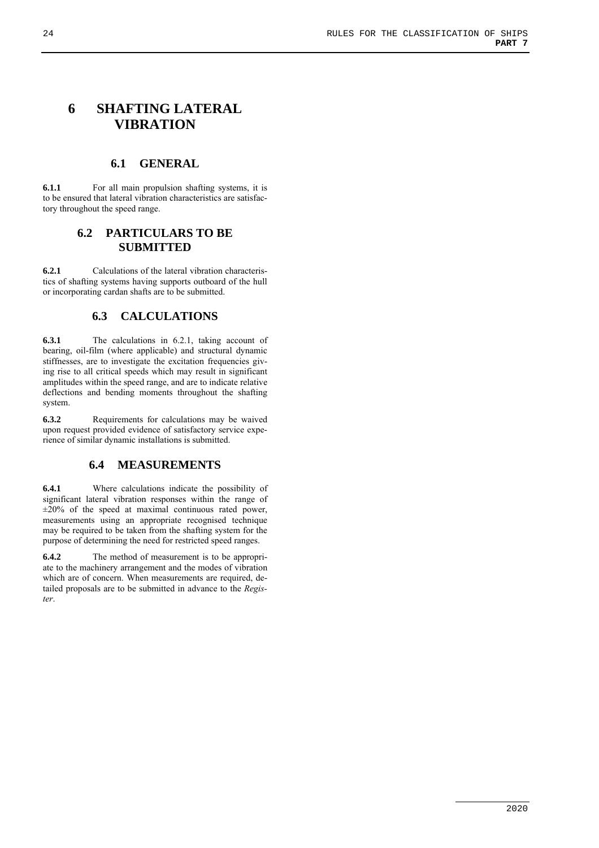# **6 SHAFTING LATERAL VIBRATION**

## **6.1 GENERAL**

**6.1.1** For all main propulsion shafting systems, it is to be ensured that lateral vibration characteristics are satisfactory throughout the speed range.

# **6.2 PARTICULARS TO BE SUBMITTED**

**6.2.1** Calculations of the lateral vibration characteristics of shafting systems having supports outboard of the hull or incorporating cardan shafts are to be submitted.

# **6.3 CALCULATIONS**

**6.3.1** The calculations in 6.2.1, taking account of bearing, oil-film (where applicable) and structural dynamic stiffnesses, are to investigate the excitation frequencies giving rise to all critical speeds which may result in significant amplitudes within the speed range, and are to indicate relative deflections and bending moments throughout the shafting system.

**6.3.2** Requirements for calculations may be waived upon request provided evidence of satisfactory service experience of similar dynamic installations is submitted.

# **6.4 MEASUREMENTS**

**6.4.1** Where calculations indicate the possibility of significant lateral vibration responses within the range of  $\pm 20\%$  of the speed at maximal continuous rated power, measurements using an appropriate recognised technique may be required to be taken from the shafting system for the purpose of determining the need for restricted speed ranges.

**6.4.2** The method of measurement is to be appropriate to the machinery arrangement and the modes of vibration which are of concern. When measurements are required, detailed proposals are to be submitted in advance to the *Register*.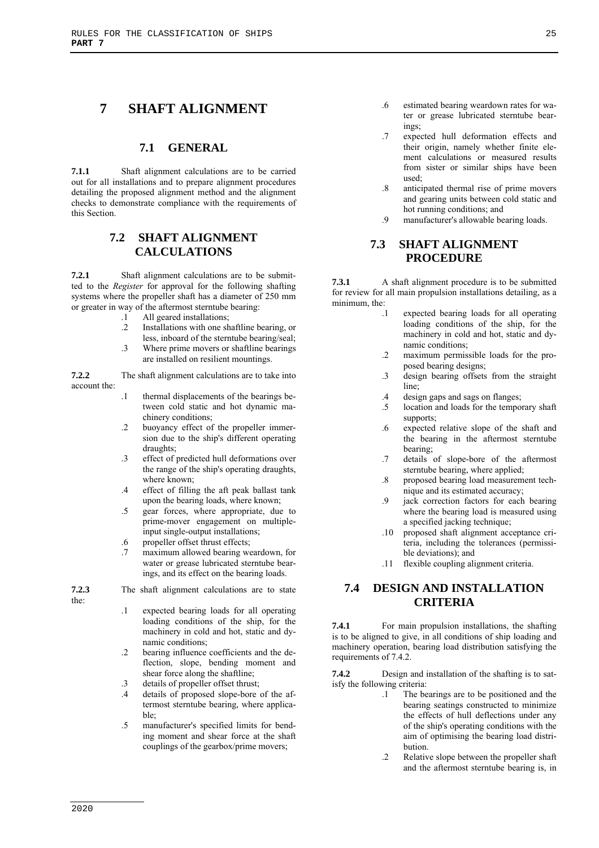# **7 SHAFT ALIGNMENT**

### **7.1 GENERAL**

**7.1.1** Shaft alignment calculations are to be carried out for all installations and to prepare alignment procedures detailing the proposed alignment method and the alignment checks to demonstrate compliance with the requirements of this Section.

# **7.2 SHAFT ALIGNMENT CALCULATIONS**

**7.2.1** Shaft alignment calculations are to be submitted to the *Register* for approval for the following shafting systems where the propeller shaft has a diameter of 250 mm or greater in way of the aftermost sterntube bearing:

- .1 All geared installations;
- .2 Installations with one shaftline bearing, or less, inboard of the sterntube bearing/seal;
- .3 Where prime movers or shaftline bearings are installed on resilient mountings.

**7.2.2** The shaft alignment calculations are to take into account the:

- .1 thermal displacements of the bearings between cold static and hot dynamic machinery conditions;
- .2 buoyancy effect of the propeller immersion due to the ship's different operating draughts;
- .3 effect of predicted hull deformations over the range of the ship's operating draughts, where known;
- .4 effect of filling the aft peak ballast tank upon the bearing loads, where known;
- .5 gear forces, where appropriate, due to prime-mover engagement on multipleinput single-output installations;
- .6 propeller offset thrust effects;
- .7 maximum allowed bearing weardown, for water or grease lubricated sterntube bearings, and its effect on the bearing loads.

**7.2.3** The shaft alignment calculations are to state the:

- .1 expected bearing loads for all operating loading conditions of the ship, for the machinery in cold and hot, static and dynamic conditions;
- .2 bearing influence coefficients and the deflection, slope, bending moment and shear force along the shaftline;
- .3 details of propeller offset thrust;
- .4 details of proposed slope-bore of the aftermost sterntube bearing, where applicable;
- .5 manufacturer's specified limits for bending moment and shear force at the shaft couplings of the gearbox/prime movers;
- .6 estimated bearing weardown rates for water or grease lubricated sterntube bearings;
- .7 expected hull deformation effects and their origin, namely whether finite element calculations or measured results from sister or similar ships have been used;
- .8 anticipated thermal rise of prime movers and gearing units between cold static and hot running conditions; and
- .9 manufacturer's allowable bearing loads.

# **7.3 SHAFT ALIGNMENT PROCEDURE**

**7.3.1** A shaft alignment procedure is to be submitted for review for all main propulsion installations detailing, as a minimum, the:

- .1 expected bearing loads for all operating loading conditions of the ship, for the machinery in cold and hot, static and dynamic conditions;
- .2 maximum permissible loads for the proposed bearing designs;
- .3 design bearing offsets from the straight line;
- .4 design gaps and sags on flanges;
- .5 location and loads for the temporary shaft supports;
- .6 expected relative slope of the shaft and the bearing in the aftermost sterntube bearing;
- .7 details of slope-bore of the aftermost sterntube bearing, where applied;
- .8 proposed bearing load measurement technique and its estimated accuracy;
- .9 jack correction factors for each bearing where the bearing load is measured using a specified jacking technique;
- .10 proposed shaft alignment acceptance criteria, including the tolerances (permissible deviations); and
- .11 flexible coupling alignment criteria.

# **7.4 DESIGN AND INSTALLATION CRITERIA**

**7.4.1** For main propulsion installations, the shafting is to be aligned to give, in all conditions of ship loading and machinery operation, bearing load distribution satisfying the requirements of 7.4.2.

**7.4.2** Design and installation of the shafting is to satisfy the following criteria:

- .1 The bearings are to be positioned and the bearing seatings constructed to minimize the effects of hull deflections under any of the ship's operating conditions with the aim of optimising the bearing load distribution.
- .2 Relative slope between the propeller shaft and the aftermost sterntube bearing is, in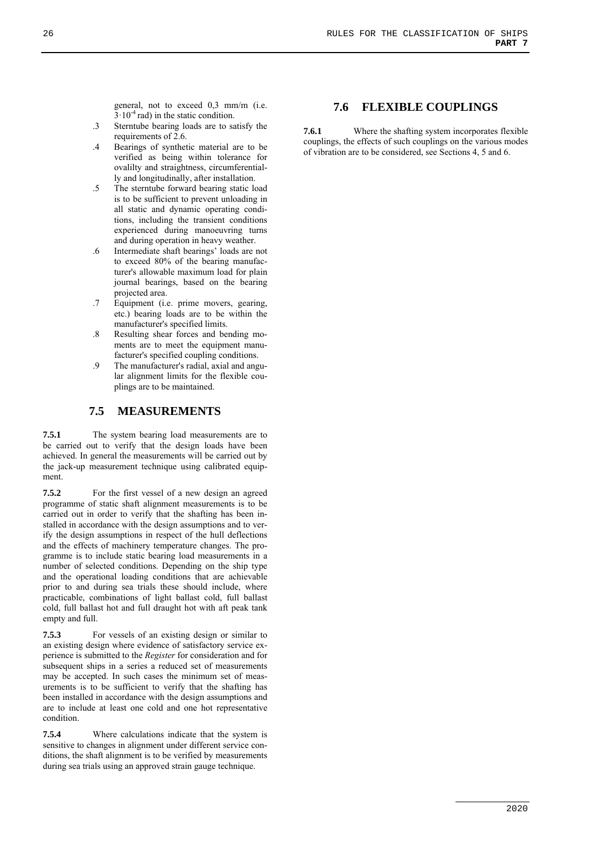general, not to exceed 0,3 mm/m (i.e.  $3 \cdot 10^{-4}$  rad) in the static condition.

- .3 Sterntube bearing loads are to satisfy the requirements of 2.6.
- .4 Bearings of synthetic material are to be verified as being within tolerance for ovalilty and straightness, circumferentially and longitudinally, after installation.
- .5 The sterntube forward bearing static load is to be sufficient to prevent unloading in all static and dynamic operating conditions, including the transient conditions experienced during manoeuvring turns and during operation in heavy weather.
- .6 Intermediate shaft bearings' loads are not to exceed 80% of the bearing manufacturer's allowable maximum load for plain journal bearings, based on the bearing projected area.
- .7 Equipment (i.e. prime movers, gearing, etc.) bearing loads are to be within the manufacturer's specified limits.
- .8 Resulting shear forces and bending moments are to meet the equipment manufacturer's specified coupling conditions.
- .9 The manufacturer's radial, axial and angular alignment limits for the flexible couplings are to be maintained.

# **7.5 MEASUREMENTS**

**7.5.1** The system bearing load measurements are to be carried out to verify that the design loads have been achieved. In general the measurements will be carried out by the jack-up measurement technique using calibrated equipment.

**7.5.2** For the first vessel of a new design an agreed programme of static shaft alignment measurements is to be carried out in order to verify that the shafting has been installed in accordance with the design assumptions and to verify the design assumptions in respect of the hull deflections and the effects of machinery temperature changes. The programme is to include static bearing load measurements in a number of selected conditions. Depending on the ship type and the operational loading conditions that are achievable prior to and during sea trials these should include, where practicable, combinations of light ballast cold, full ballast cold, full ballast hot and full draught hot with aft peak tank empty and full.

**7.5.3** For vessels of an existing design or similar to an existing design where evidence of satisfactory service experience is submitted to the *Register* for consideration and for subsequent ships in a series a reduced set of measurements may be accepted. In such cases the minimum set of measurements is to be sufficient to verify that the shafting has been installed in accordance with the design assumptions and are to include at least one cold and one hot representative condition.

**7.5.4** Where calculations indicate that the system is sensitive to changes in alignment under different service conditions, the shaft alignment is to be verified by measurements during sea trials using an approved strain gauge technique.

# **7.6 FLEXIBLE COUPLINGS**

**7.6.1** Where the shafting system incorporates flexible couplings, the effects of such couplings on the various modes of vibration are to be considered, see Sections 4, 5 and 6.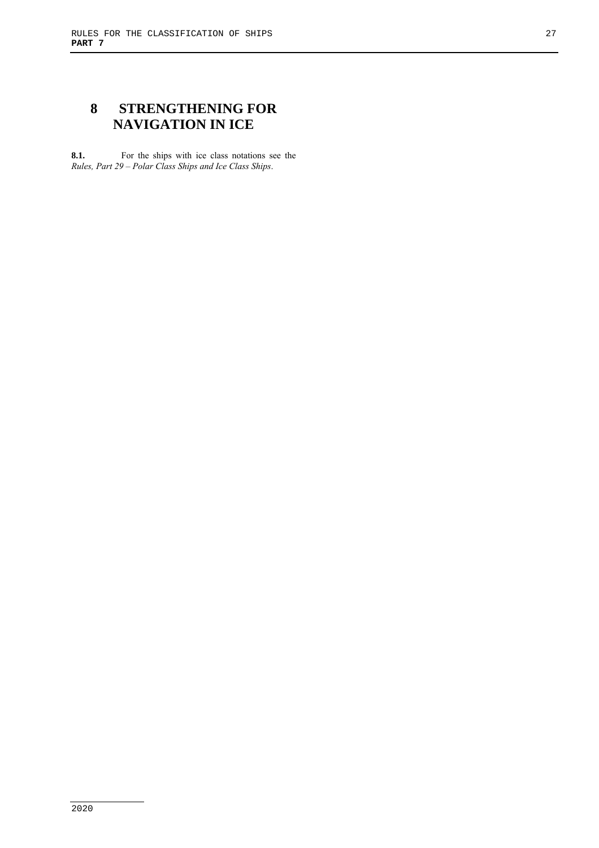# **8 STRENGTHENING FOR NAVIGATION IN ICE**

**8.1.** For the ships with ice class notations see the *Rules, Part 29 – Polar Class Ships and Ice Class Ships*.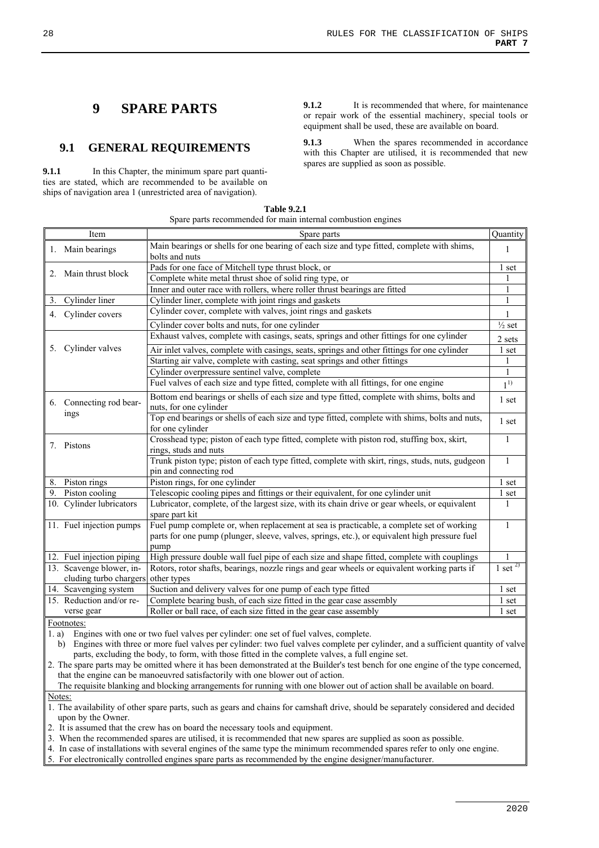# **9 SPARE PARTS**

# **9.1 GENERAL REQUIREMENTS**

**9.1.1** In this Chapter, the minimum spare part quantities are stated, which are recommended to be available on ships of navigation area 1 (unrestricted area of navigation).

**9.1.2** It is recommended that where, for maintenance or repair work of the essential machinery, special tools or equipment shall be used, these are available on board.

**9.1.3** When the spares recommended in accordance with this Chapter are utilised, it is recommended that new spares are supplied as soon as possible.

| <b>Table 9.2.1</b>                                           |
|--------------------------------------------------------------|
| Spare parts recommended for main internal combustion engines |

|    | Item                      | Spare parts                                                                                                                                                                                       | Quantity            |
|----|---------------------------|---------------------------------------------------------------------------------------------------------------------------------------------------------------------------------------------------|---------------------|
|    | 1. Main bearings          | Main bearings or shells for one bearing of each size and type fitted, complete with shims,<br>bolts and nuts                                                                                      | 1                   |
|    |                           | Pads for one face of Mitchell type thrust block, or                                                                                                                                               | 1 set               |
| 2. | Main thrust block         | Complete white metal thrust shoe of solid ring type, or                                                                                                                                           |                     |
|    |                           | Inner and outer race with rollers, where roller thrust bearings are fitted                                                                                                                        | 1                   |
| 3. | Cylinder liner            | Cylinder liner, complete with joint rings and gaskets                                                                                                                                             | $\mathbf{1}$        |
|    | 4. Cylinder covers        | Cylinder cover, complete with valves, joint rings and gaskets                                                                                                                                     | $\mathbf{1}$        |
|    |                           | Cylinder cover bolts and nuts, for one cylinder                                                                                                                                                   | $\frac{1}{2}$ set   |
|    |                           | Exhaust valves, complete with casings, seats, springs and other fittings for one cylinder                                                                                                         | 2 sets              |
|    | 5. Cylinder valves        | Air inlet valves, complete with casings, seats, springs and other fittings for one cylinder                                                                                                       | 1 set               |
|    |                           | Starting air valve, complete with casting, seat springs and other fittings                                                                                                                        | 1                   |
|    |                           | Cylinder overpressure sentinel valve, complete                                                                                                                                                    | $\mathbf{1}$        |
|    |                           | Fuel valves of each size and type fitted, complete with all fittings, for one engine                                                                                                              | $1^{(1)}$           |
|    | 6. Connecting rod bear-   | Bottom end bearings or shells of each size and type fitted, complete with shims, bolts and<br>nuts, for one cylinder                                                                              | 1 set               |
|    | ings                      | Top end bearings or shells of each size and type fitted, complete with shims, bolts and nuts,<br>for one cylinder                                                                                 | 1 set               |
|    | 7. Pistons                | Crosshead type; piston of each type fitted, complete with piston rod, stuffing box, skirt,<br>rings, studs and nuts                                                                               | $\mathbf{1}$        |
|    |                           | Trunk piston type; piston of each type fitted, complete with skirt, rings, studs, nuts, gudgeon<br>pin and connecting rod                                                                         | $\mathbf{1}$        |
| 8. | Piston rings              | Piston rings, for one cylinder                                                                                                                                                                    | 1 set               |
|    | 9. Piston cooling         | Telescopic cooling pipes and fittings or their equivalent, for one cylinder unit                                                                                                                  | 1 set               |
|    | 10. Cylinder lubricators  | Lubricator, complete, of the largest size, with its chain drive or gear wheels, or equivalent<br>spare part kit                                                                                   | 1                   |
|    | 11. Fuel injection pumps  | Fuel pump complete or, when replacement at sea is practicable, a complete set of working<br>parts for one pump (plunger, sleeve, valves, springs, etc.), or equivalent high pressure fuel<br>pump |                     |
|    | 12. Fuel injection piping | High pressure double wall fuel pipe of each size and shape fitted, complete with couplings                                                                                                        |                     |
|    | 13. Scavenge blower, in-  | Rotors, rotor shafts, bearings, nozzle rings and gear wheels or equivalent working parts if                                                                                                       | $1 \text{ set}^{2}$ |
|    | cluding turbo chargers    | other types                                                                                                                                                                                       |                     |
|    | 14. Scavenging system     | Suction and delivery valves for one pump of each type fitted                                                                                                                                      | 1 set               |
|    | 15. Reduction and/or re-  | Complete bearing bush, of each size fitted in the gear case assembly                                                                                                                              | 1 set               |
|    | verse gear                | Roller or ball race, of each size fitted in the gear case assembly                                                                                                                                | 1 set               |

Footnotes:

1. a) Engines with one or two fuel valves per cylinder: one set of fuel valves, complete.

b) Engines with three or more fuel valves per cylinder: two fuel valves complete per cylinder, and a sufficient quantity of valve parts, excluding the body, to form, with those fitted in the complete valves, a full engine set.

2. The spare parts may be omitted where it has been demonstrated at the Builder's test bench for one engine of the type concerned, that the engine can be manoeuvred satisfactorily with one blower out of action.

The requisite blanking and blocking arrangements for running with one blower out of action shall be available on board.

Notes:

1. The availability of other spare parts, such as gears and chains for camshaft drive, should be separately considered and decided upon by the Owner.

2. It is assumed that the crew has on board the necessary tools and equipment.

3. When the recommended spares are utilised, it is recommended that new spares are supplied as soon as possible.

4. In case of installations with several engines of the same type the minimum recommended spares refer to only one engine.

5. For electronically controlled engines spare parts as recommended by the engine designer/manufacturer.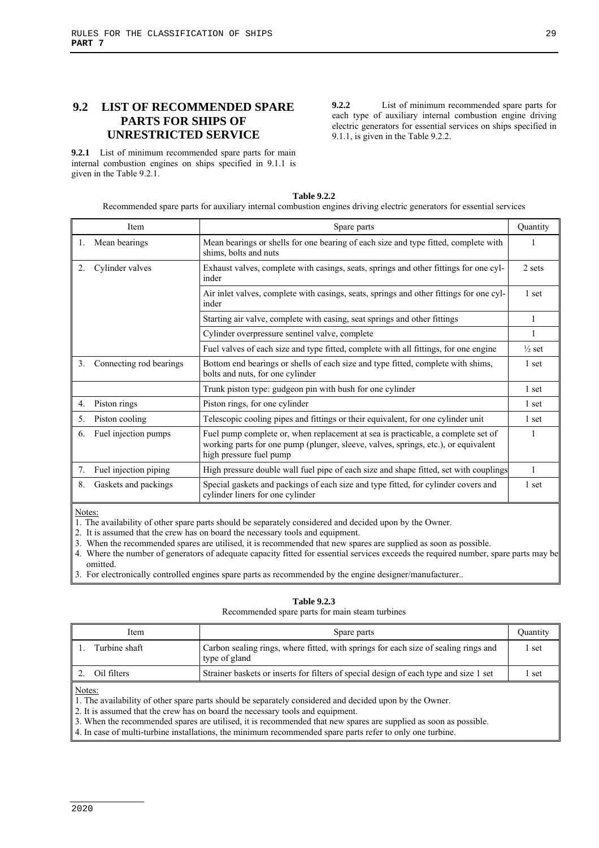# **9.2 LIST OF RECOMMENDED SPARE PARTS FOR SHIPS OF UNRESTRICTED SERVICE**

**9.2.1** List of minimum recommended spare parts for main internal combustion engines on ships specified in 9.1.1 is given in the Table 9.2.1.

**9.2.2** List of minimum recommended spare parts for each type of auxiliary internal combustion engine driving electric generators for essential services on ships specified in 9.1.1, is given in the Table 9.2.2.

| <b>Table 9.2.2</b>                                                                                                   |  |
|----------------------------------------------------------------------------------------------------------------------|--|
| Recommended spare parts for auxiliary internal combustion engines driving electric generators for essential services |  |

|                  | Item                    | Spare parts                                                                                                                                                                                       | Quantity          |
|------------------|-------------------------|---------------------------------------------------------------------------------------------------------------------------------------------------------------------------------------------------|-------------------|
|                  | Mean bearings           | Mean bearings or shells for one bearing of each size and type fitted, complete with<br>shims, bolts and nuts                                                                                      |                   |
| $\mathfrak{2}$ . | Cylinder valves         | Exhaust valves, complete with casings, seats, springs and other fittings for one cyl-<br>inder                                                                                                    | 2 sets            |
|                  |                         | Air inlet valves, complete with casings, seats, springs and other fittings for one cyl-<br>inder                                                                                                  | 1 set             |
|                  |                         | Starting air valve, complete with casing, seat springs and other fittings                                                                                                                         |                   |
|                  |                         | Cylinder overpressure sentinel valve, complete                                                                                                                                                    |                   |
|                  |                         | Fuel valves of each size and type fitted, complete with all fittings, for one engine                                                                                                              | $\frac{1}{2}$ set |
| 3.               | Connecting rod bearings | Bottom end bearings or shells of each size and type fitted, complete with shims,<br>bolts and nuts, for one cylinder                                                                              | 1 set             |
|                  |                         | Trunk piston type: gudgeon pin with bush for one cylinder                                                                                                                                         | 1 set             |
| $4_{\cdot}$      | Piston rings            | Piston rings, for one cylinder                                                                                                                                                                    | 1 set             |
| 5.               | Piston cooling          | Telescopic cooling pipes and fittings or their equivalent, for one cylinder unit                                                                                                                  | 1 set             |
| 6.               | Fuel injection pumps    | Fuel pump complete or, when replacement at sea is practicable, a complete set of<br>working parts for one pump (plunger, sleeve, valves, springs, etc.), or equivalent<br>high pressure fuel pump |                   |
| 7.               | Fuel injection piping   | High pressure double wall fuel pipe of each size and shape fitted, set with couplings                                                                                                             |                   |
| 8.               | Gaskets and packings    | Special gaskets and packings of each size and type fitted, for cylinder covers and<br>cylinder liners for one cylinder                                                                            | 1 set             |

Notes:

1. The availability of other spare parts should be separately considered and decided upon by the Owner.

2. It is assumed that the crew has on board the necessary tools and equipment.

3. When the recommended spares are utilised, it is recommended that new spares are supplied as soon as possible.

4. Where the number of generators of adequate capacity fitted for essential services exceeds the required number, spare parts may be omitted.

3. For electronically controlled engines spare parts as recommended by the engine designer/manufacturer..

#### **Table 9.2.3**

Recommended spare parts for main steam turbines

| Item             | Spare parts                                                                                          | Ouantity |
|------------------|------------------------------------------------------------------------------------------------------|----------|
| Turbine shaft    | Carbon sealing rings, where fitted, with springs for each size of sealing rings and<br>type of gland | set      |
| Oil filters      | Strainer baskets or inserts for filters of special design of each type and size 1 set                | set      |
| $N_{\text{max}}$ |                                                                                                      |          |

Notes:

1. The availability of other spare parts should be separately considered and decided upon by the Owner.

2. It is assumed that the crew has on board the necessary tools and equipment.

3. When the recommended spares are utilised, it is recommended that new spares are supplied as soon as possible.

4. In case of multi-turbine installations, the minimum recommended spare parts refer to only one turbine.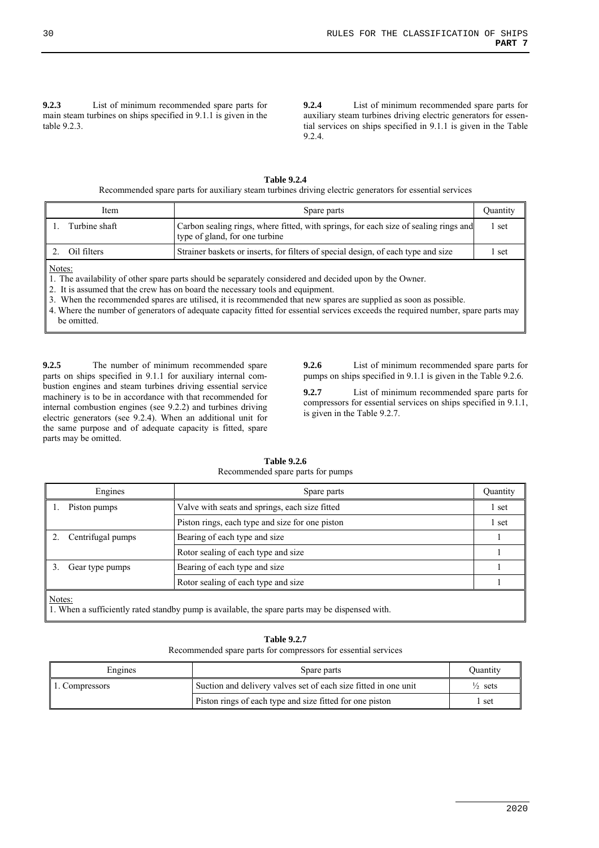**9.2.3** List of minimum recommended spare parts for main steam turbines on ships specified in 9.1.1 is given in the table 9.2.3.

**9.2.4** List of minimum recommended spare parts for auxiliary steam turbines driving electric generators for essential services on ships specified in 9.1.1 is given in the Table 9.2.4.

| <b>Table 9.2.4</b>                                                                                      |
|---------------------------------------------------------------------------------------------------------|
| Recommended spare parts for auxiliary steam turbines driving electric generators for essential services |

| Item          | Spare parts                                                                                                            | Ouantity |
|---------------|------------------------------------------------------------------------------------------------------------------------|----------|
| Turbine shaft | Carbon sealing rings, where fitted, with springs, for each size of sealing rings and<br>type of gland, for one turbine | set      |
| Oil filters   | Strainer baskets or inserts, for filters of special design, of each type and size                                      | set      |

Notes:

1. The availability of other spare parts should be separately considered and decided upon by the Owner.

2. It is assumed that the crew has on board the necessary tools and equipment.

3. When the recommended spares are utilised, it is recommended that new spares are supplied as soon as possible.

4. Where the number of generators of adequate capacity fitted for essential services exceeds the required number, spare parts may be omitted.

**9.2.5** The number of minimum recommended spare parts on ships specified in 9.1.1 for auxiliary internal combustion engines and steam turbines driving essential service machinery is to be in accordance with that recommended for internal combustion engines (see 9.2.2) and turbines driving electric generators (see 9.2.4). When an additional unit for the same purpose and of adequate capacity is fitted, spare parts may be omitted.

**9.2.6** List of minimum recommended spare parts for pumps on ships specified in 9.1.1 is given in the Table 9.2.6.

**9.2.7** List of minimum recommended spare parts for compressors for essential services on ships specified in 9.1.1, is given in the Table 9.2.7.

| Engines                                                                                                  | Spare parts                                     | <b>Quantity</b> |  |
|----------------------------------------------------------------------------------------------------------|-------------------------------------------------|-----------------|--|
| Piston pumps                                                                                             | Valve with seats and springs, each size fitted  | 1 set           |  |
|                                                                                                          | Piston rings, each type and size for one piston | 1 set           |  |
| Centrifugal pumps                                                                                        | Bearing of each type and size                   |                 |  |
|                                                                                                          | Rotor sealing of each type and size             |                 |  |
| Gear type pumps                                                                                          | Bearing of each type and size                   |                 |  |
|                                                                                                          | Rotor sealing of each type and size             |                 |  |
| Notes:<br>1. When a sufficiently rated standby pump is available, the spare parts may be dispensed with. |                                                 |                 |  |

#### **Table 9.2.6**  Recommended spare parts for pumps

#### **Table 9.2.7**

Recommended spare parts for compressors for essential services

| Engines        | Spare parts                                                     | Ouantity           |
|----------------|-----------------------------------------------------------------|--------------------|
| 1. Compressors | Suction and delivery valves set of each size fitted in one unit | $\frac{1}{2}$ sets |
|                | Piston rings of each type and size fitted for one piston        | set                |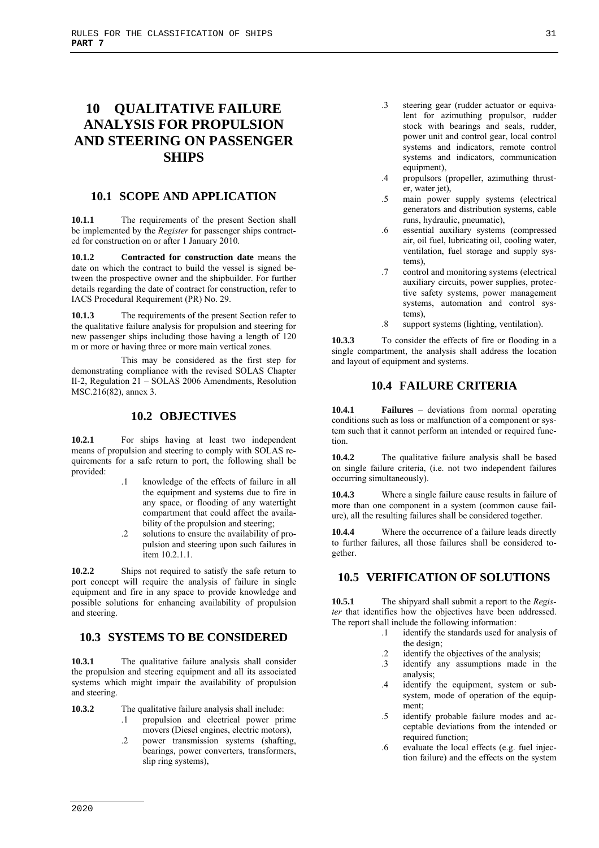# **10 QUALITATIVE FAILURE ANALYSIS FOR PROPULSION AND STEERING ON PASSENGER SHIPS**

## **10.1 SCOPE AND APPLICATION**

**10.1.1** The requirements of the present Section shall be implemented by the *Register* for passenger ships contracted for construction on or after 1 January 2010.

**10.1.2 Contracted for construction date** means the date on which the contract to build the vessel is signed between the prospective owner and the shipbuilder. For further details regarding the date of contract for construction, refer to IACS Procedural Requirement (PR) No. 29.

**10.1.3** The requirements of the present Section refer to the qualitative failure analysis for propulsion and steering for new passenger ships including those having a length of 120 m or more or having three or more main vertical zones.

This may be considered as the first step for demonstrating compliance with the revised SOLAS Chapter II-2, Regulation 21 – SOLAS 2006 Amendments, Resolution MSC.216(82), annex 3.

## **10.2 OBJECTIVES**

**10.2.1** For ships having at least two independent means of propulsion and steering to comply with SOLAS requirements for a safe return to port, the following shall be provided:

- .1 knowledge of the effects of failure in all the equipment and systems due to fire in any space, or flooding of any watertight compartment that could affect the availability of the propulsion and steering;
- .2 solutions to ensure the availability of propulsion and steering upon such failures in item 10.2.1.1.

**10.2.2** Ships not required to satisfy the safe return to port concept will require the analysis of failure in single equipment and fire in any space to provide knowledge and possible solutions for enhancing availability of propulsion and steering.

# **10.3 SYSTEMS TO BE CONSIDERED**

**10.3.1** The qualitative failure analysis shall consider the propulsion and steering equipment and all its associated systems which might impair the availability of propulsion and steering.

- **10.3.2** The qualitative failure analysis shall include:
	- .1 propulsion and electrical power prime movers (Diesel engines, electric motors),
	- .2 power transmission systems (shafting, bearings, power converters, transformers, slip ring systems),
- .3 steering gear (rudder actuator or equivalent for azimuthing propulsor, rudder stock with bearings and seals, rudder, power unit and control gear, local control systems and indicators, remote control systems and indicators, communication equipment),
- .4 propulsors (propeller, azimuthing thruster, water jet),
- .5 main power supply systems (electrical generators and distribution systems, cable runs, hydraulic, pneumatic),
- .6 essential auxiliary systems (compressed air, oil fuel, lubricating oil, cooling water, ventilation, fuel storage and supply systems),
- .7 control and monitoring systems (electrical auxiliary circuits, power supplies, protective safety systems, power management systems, automation and control systems),
- .8 support systems (lighting, ventilation).

**10.3.3** To consider the effects of fire or flooding in a single compartment, the analysis shall address the location and layout of equipment and systems.

# **10.4 FAILURE CRITERIA**

**10.4.1 Failures** – deviations from normal operating conditions such as loss or malfunction of a component or system such that it cannot perform an intended or required function.

**10.4.2** The qualitative failure analysis shall be based on single failure criteria, (i.e. not two independent failures occurring simultaneously).

**10.4.3** Where a single failure cause results in failure of more than one component in a system (common cause failure), all the resulting failures shall be considered together.

**10.4.4** Where the occurrence of a failure leads directly to further failures, all those failures shall be considered together.

# **10.5 VERIFICATION OF SOLUTIONS**

**10.5.1** The shipyard shall submit a report to the *Register* that identifies how the objectives have been addressed. The report shall include the following information:

- .1 identify the standards used for analysis of the design;
- .2 identify the objectives of the analysis;
- .3 identify any assumptions made in the analysis;
- .4 identify the equipment, system or subsystem, mode of operation of the equipment;
- .5 identify probable failure modes and acceptable deviations from the intended or required function;
- .6 evaluate the local effects (e.g. fuel injection failure) and the effects on the system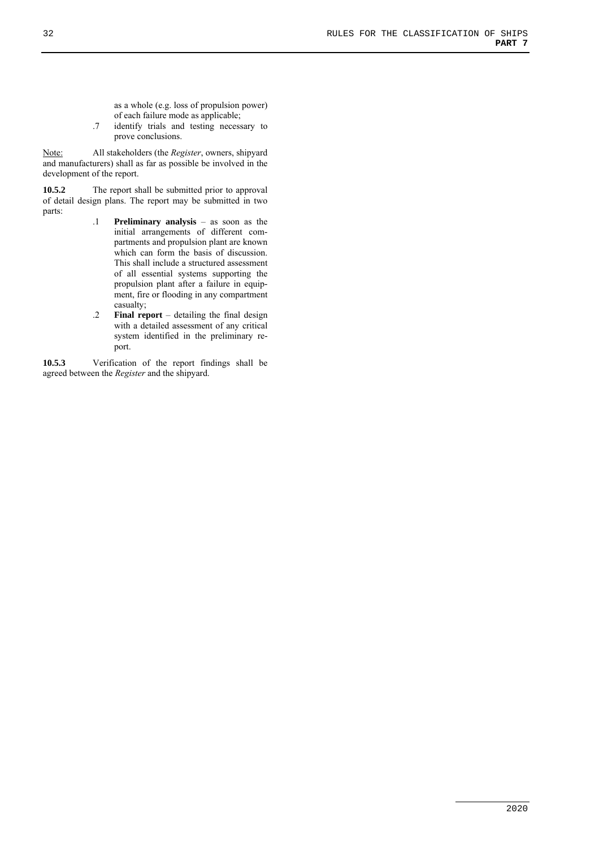as a whole (e.g. loss of propulsion power) of each failure mode as applicable;

.7 identify trials and testing necessary to prove conclusions.

Note: All stakeholders (the *Register*, owners, shipyard and manufacturers) shall as far as possible be involved in the development of the report.

**10.5.2** The report shall be submitted prior to approval of detail design plans. The report may be submitted in two parts:

- .1 **Preliminary analysis** as soon as the initial arrangements of different compartments and propulsion plant are known which can form the basis of discussion. This shall include a structured assessment of all essential systems supporting the propulsion plant after a failure in equipment, fire or flooding in any compartment casualty;
- .2 **Final report** detailing the final design with a detailed assessment of any critical system identified in the preliminary report.

**10.5.3** Verification of the report findings shall be agreed between the *Register* and the shipyard.